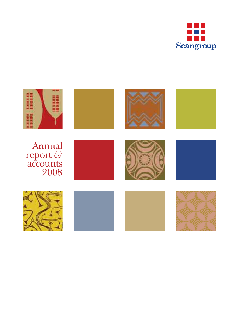

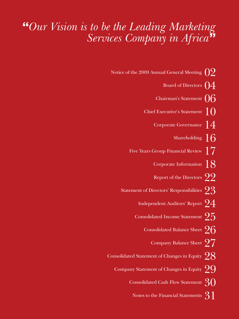# **"***Our Vision is to be the Leading Marketing Services Company in Africa***"**

Notice of the 2009 Annual General Meeting  $\sqrt{02}$ Board of Directors Chairman's Statement Chief Executive's Statement  $\,\,10$ Corporate Governance Shareholding Five Years Group Financial Review  $\frac{1}{7}$ Corporate Information Report of the Directors Statement of Directors' Responsibilities Independent Auditors' Report Consolidated Income Statement Consolidated Balance Sheet Company Balance Sheet Consolidated Statement of Changes in Equity Company Statement of Changes in Equity Consolidated Cash Flow Statement Notes to the Financial Statements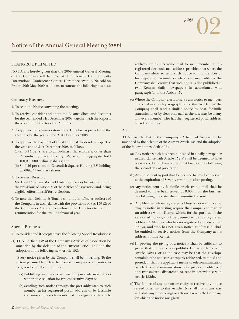# Notice of the Annual General Meeting 2009

#### SCANGROUP LIMITED

NOTICE is hereby given that the 2009 Annual General Meeting of the Company will be held at The Plenary Hall, Kenyatta International Conference Centre, Harambee Avenue, Nairobi on Friday, 29th May 2009 at 11 a.m. to transact the following business:

#### Ordinary Business

- 1. To read the Notice convening the meeting.
- 2. To receive, consider and adopt the Balance Sheet and Accounts for the year ended 31st December 2008 together with the Reports thereon of the Directors and Auditors.
- 3. To approve the Remuneration of the Directors as provided in the accounts for the year ended 31st December 2008.
- 4. To approve the payment of a first and final dividend in respect of the year ended 31st December 2008 as follows:
	- (a) Sh 0.75 per share to all ordinary shareholders, other than Cavendish Square Holding BV, who in aggregate hold 160,000,000 ordinary shares; and
	- (b) Sh 0.26 per share to Cavendish Square Holding BV holding 60,689,655 ordinary shares
- 5. To re-elect Director:

Mr. David Graham Michael Hutchison retires by rotation under the provisions of Article 93 of the Articles of Association and, being eligible, offers himself for re-election.

6. To note that Deloitte & Touche continue in office as auditors of the Company in accordance with the provisions of Sec.159 (2) of the Companies Act and to authorise the Directors to fix their remuneration for the ensuing financial year.

#### Special Business

- 7. To consider and if accepted pass the following Special Resolutions:
- (1) THAT Article 152 of the Company's Articles of Association be amended by the deletion of the current Article 152 and the adoption of the following new Article 152:

'Every notice given by the Company shall be in writing. To the extent permissible by law the Company may serve any notice to be given to members by either:

- (a) Publishing such notice in two Kenyan daily newspapers with wide circulation for two consecutive days; or
- (b) Sending such notice through the post addressed to such member at his registered postal address; or by facsimile transmission to such member at his registered facsimile

address; or by electronic mail to such member at his registered electronic mail address, provided that where the Company elects to send such notice to any member at his registered facsimile or electronic mail address the Company shall ensure that such notice is also published in two Kenyan daily newspapers in accordance with paragraph (a) of this Article 152.

*page*

02

(c) Where the Company elects to serve any notice to members in accordance with paragraph (a) of this Article 152 the Company shall send a similar notice by post, facsimile transmission or by electronic mail as the case may be to any and every member who has their registered postal address outside of Kenya'.

#### And

THAT Article 154 of the Company's Articles of Association be amended by the deletion of the current Article 154 and the adoption of the following new Article 154:

- (a) 'Any notice which has been published in a daily newspaper in accordance with Article 152(a) shall be deemed to have been served at 9:00am on the next business day following the second day of publication.
- (b) Any notice sent by post shall be deemed to have been served at the expiration of Seventy-two hours after posting.
- (c) Any notice sent by facsimile or electronic mail shall be deemed to have been served at 9:00am on the business day following the date when transmitted or sent.
- (d) Any Member whose registered address is not within Kenya may by notice in writing require the Company to register an address within Kenya, which, for the purpose of the service of notices, shall be deemed to be his registered address. A Member who has no registered address within Kenya, and who has not given notice as aforesaid, shall be entitled to receive notices from the Company at his address outside Kenya.
- (e) In proving the giving of a notice it shall be sufficient to prove that the notice was published in accordance with Article 152(a), or as the case may be that the envelope containing the notice was properly addressed, stamped and posted, or that the applicable means of telecommunication or electronic communication was properly addressed and transmitted, dispatched or sent in accordance with Article 152(b).
- (f) The failure of any person or entity to receive any notice served pursuant to this Article 154 shall not in any way invalidate any proceedings or actions taken by the Company for which the notice was given'.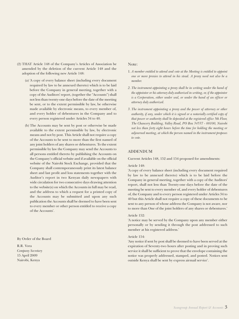- (2) THAT Article 148 of the Company's Articles of Association be amended by the deletion of the current Article 148 and the adoption of the following new Article 148:
	- (a) 'A copy of every balance sheet (including every document required by law to be annexed thereto) which is to be laid before the Company in general meeting, together with a copy of the Auditors' report, (together the "Accounts") shall not less than twenty-one days before the date of the meeting be sent, or to the extent permissible by law, be otherwise made available by electronic means, to every member of, and every holder of debentures in the Company and to every person registered under Articles 34 to 40.
	- (b) The Accounts may be sent by post or otherwise be made available to the extent permissible by law, by electronic means and not by post. This Article shall not require a copy of the Accounts to be sent to more than the first named of any joint holders of any shares or debentures. To the extent permissible by law the Company may send the Accounts to all persons entitled thereto by publishing the Accounts on the Company's official website and if available on the official website of the Nairobi Stock Exchange, provided that the Company shall contemporaneously print its latest balance sheet and last profit and loss statements together with the Auditor's report in two Kenyan daily newspapers with wide circulation for two consecutive days drawing attention to the website(s) on which the Accounts in full may be read, and the address to which a request for a printed copy of the Accounts may be submitted and upon any such publication the Accounts shall be deemed to have been sent to every member or other person entitled to receive a copy of the Accounts'.

By Order of the Board

R.R. Vora *Company Secretary* 15 April 2009 Nairobi, Kenya

#### Note:

- 1*. A member entitled to attend and vote at the Meeting is entitled to appoint one or more proxies to attend in his stead. A proxy need not also be a member.*
- *2. The instrument appointing a proxy shall be in writing under the hand of the appointor or his attorney duly authorized in writing, or, if the appointor is a Corporation, either under seal, or under the hand of an officer or attorney duly authorized.*
- *3. The instrument appointing a proxy and the power of attorney or other authority, if any, under which it is signed or a notarially certified copy of that power or authority shall be deposited at the registered office 5th Floor, The Chancery Building, Valley Road, PO Box 34537 - 00100, Nairobi not less than forty eight hours before the time for holding the meeting or adjourned meeting, at which the person named in the instrument proposes to vote.*

#### ADDENDUM

Current Articles 148, 152 and 154 proposed for amendments:

#### Article 148:

'A copy of every balance sheet (including every document required by law to be annexed thereto) which is to be laid before the Company in general meeting, together with a copy of the Auditors' report, shall not less than Twenty-one days before the date of the meeting be sent to every member of, and every holder of debentures of, the Company and to every person registered under Articles 34 to 40 but this Article shall not require a copy of these documents to be sent to any person of whose address the Company is not aware, nor to more than One of the joint holders of any shares or debentures.'

#### Article 152:

'A notice may be served by the Company upon any member either personally or by sending it through the post addressed to such member at his registered address.'

#### Article 154:

'Any notice if sent by post shall be deemed to have been served at the expiration of Seventy-two hours after posting and in proving such service it shall be sufficient to prove that the envelope containing the notice was properly addressed, stamped, and posted. Notices sent outside Kenya shall be sent by express airmail service'.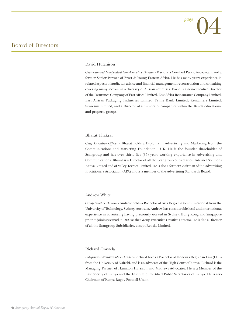# Board of Directors

#### David Hutchison

*Chairman and Independent Non-Executive Director -* David is a Certified Public Accountant and a former Senior Partner of Ernst & Young Eastern Africa. He has many years experience in related aspects of audit, tax advice and financial management, reconstruction and consulting covering many sectors, in a diversity of African countries. David is a non-executive Director of the Insurance Company of East Africa Limited, East Africa Reinsurance Company Limited, East African Packaging Industries Limited, Prime Bank Limited, Kentainers Limited, Synresins Limited, and a Director of a number of companies within the Banda educational and property groups.

#### Bharat Thakrar

*Chief Executive Officer -* Bharat holds a Diploma in Advertising and Marketing from the Communications and Marketing Foundation - UK. He is the founder shareholder of Scangroup and has over thirty five (35) years working experience in Advertising and Communications. Bharat is a Director of all the Scangroup Subsidiaries, Internet Solutions Kenya Limited and of Valley Terrace Limited. He is also a former Chairman of the Advertising Practitioners Association (APA) and is a member of the Advertising Standards Board.

#### Andrew White

*Group Creative Director -* Andrew holds a Bachelor of Arts Degree (Communications) from the University of Technology, Sydney, Australia. Andrew has considerable local and international experience in advertising having previously worked in Sydney, Hong Kong and Singapore prior to joining Scanad in 1990 as the Group Executive Creative Director. He is also a Director of all the Scangroup Subsidiaries, except Redsky Limited.

#### Richard Omwela

*Independent Non-Executive Director -* Richard holds a Bachelor of Honours Degree in Law (LLB) from the University of Nairobi, and is an advocate of the High Court of Kenya. Richard is the Managing Partner of Hamilton Harrison and Mathews Advocates. He is a Member of the Law Society of Kenya and the Institute of Certified Public Secretaries of Kenya. He is also Chairman of Kenya Rugby Football Union.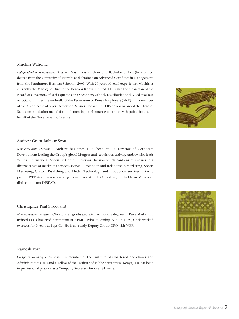#### Muchiri Wahome

*Independent Non-Executive Director -* Muchiri is a holder of a Bachelor of Arts (Economics) degree from the University of Nairobi and obtained an Advanced Certificate in Management from the Strathmore Business School in 2006. With 20 years of retail experience, Muchiri is currently the Managing Director of Deacons Kenya Limited. He is also the Chairman of the Board of Governors of Moi Equator Girls Secondary School, Distributive and Allied Workers Association under the umbrella of the Federation of Kenya Employers (FKE) and a member of the Archdiocese of Nyeri Education Advisory Board. In 2005 he was awarded the Head of State commendation medal for implementing performance contracts with public bodies on behalf of the Government of Kenya.

#### Andrew Grant Balfour Scott

*Non-Executive Director -* Andrew has since 1999 been WPP's Director of Corporate Development leading the Group's global Mergers and Acquisition activity. Andrew also leads WPP's International Specialist Communications Division which contains businesses in a diverse range of marketing services sectors - Promotion and Relationship Marketing, Sports Marketing, Custom Publishing and Media, Technology and Production Services. Prior to joining WPP Andrew was a strategy consultant at LEK Consulting. He holds an MBA with distinction from INSEAD.

#### Christopher Paul Sweetland

*Non-Executive Director -* Christopher graduated with an honors degree in Pure Maths and trained as a Chartered Accountant at KPMG. Prior to joining WPP in 1989, Chris worked overseas for 9 years at PepsiCo. He is currently Deputy Group CFO with WPP.

#### Ramesh Vora

*Company Secretary -* Ramesh is a member of the Institute of Chartered Secretaries and Administrators (UK) and a Fellow of the Institute of Public Secretaries (Kenya). He has been in professional practice as a Company Secretary for over 31 years.



*Scangroup Annual Report & Accounts* 5





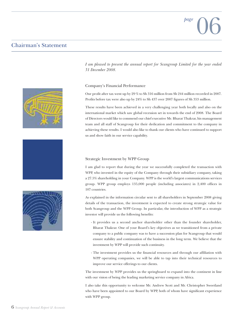# Chairman's Statement







*I am pleased to present the annual report for Scangroup Limited for the year ended 31 December 2008.*

*page*

06

#### Company's Financial Performance

Our profit after tax went up by 29 % to Sh 316 million from Sh 244 million recorded in 2007. Profits before tax were also up by 24% to Sh 437 over 2007 figures of Sh 353 million.

These results have been achieved in a very challenging year both locally and also on the international market which saw global recession set in towards the end of 2008. The Board of Directors would like to commend our chief executive Mr. Bharat Thakrar, his management team and all staff of Scangroup for their dedication and commitment to the company in achieving these results. I would also like to thank our clients who have continued to support us and show faith in our service capability.

#### Strategic Investment by WPP Group

I am glad to report that during the year we successfully completed the transaction with WPP, who invested in the equity of the Company through their subsidiary company, taking a 27.5% shareholding in your Company. WPP is the world's largest communications services group. WPP group employs 135,000 people (including associates) in 2,400 offices in 107 countries.

As explained in the information circular sent to all shareholders in September 2008 giving details of the transaction, the investment is expected to create strong strategic value for both Scangroup and the WPP Group. In particular, the introduction of WPP as a strategic investor will provide us the following benefits:

- It provides us a second anchor shareholder other than the founder shareholder, Bharat Thakrar. One of your Board's key objectives as we transitioned from a private company to a public company was to have a succession plan for Scangroup that would ensure stability and continuation of the business in the long term. We believe that the investment by WPP will provide such continuity.
- The investment provides us the financial resources and through our affiliation with WPP operating companies, we will be able to tap into their technical resources to improve our service offerings to our clients.

The investment by WPP provides us the springboard to expand into the continent in line with our vision of being the leading marketing service company in Africa.

I also take this opportunity to welcome Mr. Andrew Scott and Mr. Christopher Sweetland who have been appointed to our Board by WPP, both of whom have significant experience with WPP group.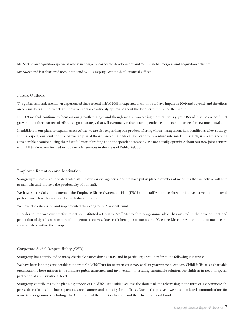Mr. Scott is an acquisition specialist who is in charge of corporate development and WPP's global mergers and acquisition activities. Mr. Sweetland is a chartered accountant and WPP's Deputy Group Chief Financial Officer.

#### Future Outlook

The global economic meltdown experienced since second half of 2008 is expected to continue to have impact in 2009 and beyond, and the effects on our markets are not yet clear. I however remain cautiously optimistic about the long term future for the Group.

In 2009 we shall continue to focus on our growth strategy, and though we are proceeding more cautiously, your Board is still convinced that growth into other markets of Africa is a good strategy that will eventually reduce our dependence on present markets for revenue growth.

In addition to our plans to expand across Africa, we are also expanding our product offering which management has identified as a key strategy. In this respect, our joint venture partnership in Millward Brown East Africa saw Scangroup venture into market research, is already showing considerable promise during their first full year of trading as an independent company. We are equally optimistic about our new joint venture with Hill & Knowlton formed in 2009 to offer services in the areas of Public Relations.

#### Employee Retention and Motivation

Scangroup's success is due to dedicated staff in our various agencies, and we have put in place a number of measures that we believe will help to maintain and improve the productivity of our staff.

We have successfully implemented the Employee Share Ownership Plan (ESOP) and staff who have shown initiative, drive and improved performance, have been rewarded with share options.

We have also established and implemented the Scangroup Provident Fund.

In order to improve our creative talent we instituted a Creative Staff Mentorship programme which has assisted in the development and promotion of significant numbers of indigenous creatives. Due credit here goes to our team of Creative Directors who continue to nurture the creative talent within the group.

#### Corporate Social Responsibility (CSR)

Scangroup has contributed to many charitable causes during 2008, and in particular, I would refer to the following initiatives:

We have been lending considerable support to Childlife Trust for over ten years now and last year was no exception. Childlife Trust is a charitable organization whose mission is to stimulate public awareness and involvement in creating sustainable solutions for children in need of special protection at an institutional level.

Scangroup contributes to the planning process of Childlife Trust Initiatives. We also donate all the advertising in the form of TV commercials, press ads, radio ads, brochures, posters, street banners and publicity for the Trust. During the past year we have produced communications for some key programmes including The Other Side of the Street exhibition and the Christmas Food Fund.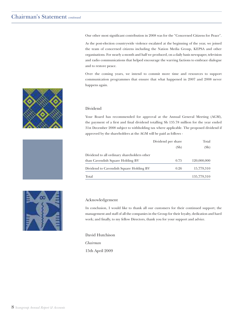Our other most significant contribution in 2008 was for the "Concerned Citizens for Peace".

As the post-election countrywide violence escalated at the beginning of the year, we joined the team of concerned citizens including the Nation Media Group, KEPSA and other organisations. For nearly a month and half we produced, on a daily basis newspaper, television and radio communications that helped encourage the warring factions to embrace dialogue and to restore peace.

Over the coming years, we intend to commit more time and resources to support communication programmes that ensure that what happened in 2007 and 2008 never happens again.

#### Dividend

Your Board has recommended for approval at the Annual General Meeting (AGM), the payment of a first and final dividend totalling Sh 135.78 million for the year ended 31st December 2008 subject to withholding tax where applicable. The proposed dividend if approved by the shareholders at the AGM will be paid as follows -

|                                             | Dividend per share | Total           |
|---------------------------------------------|--------------------|-----------------|
|                                             | (Sh)               | $(\mathrm{Sh})$ |
| Dividend to all ordinary shareholders other |                    |                 |
| than Cavendish Square Holding BV            | 0.75               | 120,000,000     |
| Dividend to Cavendish Square Holding BV     | 0.26               | 15,779,310      |
| Total                                       |                    | 135,779,310     |

#### Acknowledgement

In conclusion, I would like to thank all our customers for their continued support; the management and staff of all the companies in the Group for their loyalty, dedication and hard work; and finally, to my fellow Directors, thank you for your support and advice.

David Hutchison *Chairman* 15th April 2009





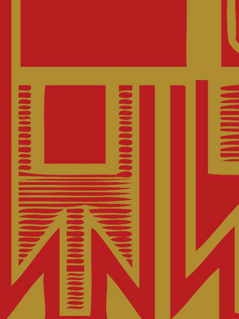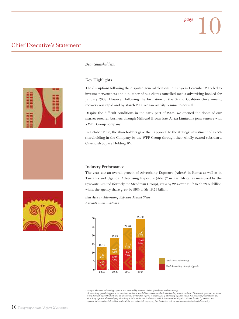# Chief Executive's Statement







#### *Dear Shareholders,*

#### Key Highlights

The disruptions following the disputed general elections in Kenya in December 2007 led to investor nervousness and a number of our clients cancelled media advertising booked for January 2008. However, following the formation of the Grand Coalition Government, recovery was rapid and by March 2008 we saw activity resume to normal.

*page*

10

Despite the difficult conditions in the early part of 2008, we opened the doors of our market research business through Millward Brown East Africa Limited, a joint venture with a WPP Group company.

In October 2008, the shareholders gave their approval to the strategic investment of 27.5% shareholding in the Company by the WPP Group through their wholly owned subsidiary, Cavendish Square Holding BV.

#### Industry Performance

The year saw an overall growth of Advertising Exposure (Adex)\* in Kenya as well as in Tanzania and Uganda. Advertising Exposure (Adex)\* in East Africa, as measured by the Synovate Limited (formely the Steadman Group), grew by 22% over 2007 to Sh 29.60 billion whilst the agency share grew by 59% to Sh 18.73 billion.

*East Africa - Advertising Exposure Market Share Amounts in Sh in billions*



\* Note for Adex data. Advertising Exposure is as measured by Synovate Limited (formely the Steadman Group). All advertising spots that appear in the monitored media are recorded in a data base and calculated at the gross rate card cost. The amounts generated are devoid<br>of any discounts offered to clients and ad agencies and are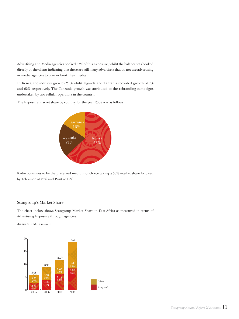Advertising and Media agencies booked 63% of this Exposure, whilst the balance was booked directly by the clients indicating that there are still many advertisers that do not use advertising or media agencies to plan or book their media.

In Kenya, the industry grew by 21% whilst Uganda and Tanzania recorded growth of 7% and 62% respectively. The Tanzania growth was attributed to the rebranding campaigns undertaken by two cellular operators in the country.

The Exposure market share by country for the year 2008 was as follows:



Radio continues to be the preferred medium of choice taking a 53% market share followed by Television at 28% and Print at 19%.

#### Scangroup's Market Share

The chart below shows Scangroup Market Share in East Africa as measured in terms of Advertising Exposure through agencies.

*Amounts in Sh in billions*

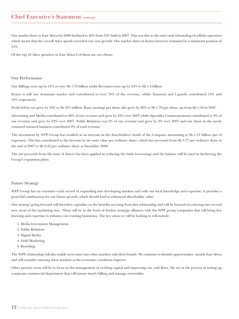# Chief Executive's Statement *continued*

Our market share in East Africa for 2008 declined to 46% from 52% held in 2007. This was due to the entry and rebranding of cellular operators which meant that the overall Adex spend exceeded our own growth. Our market share in Kenya however remained in a dominant position of 53%.

Of the top 10 Adex spenders in East Africa 6 of them are our clients.

#### Our Performance

Our Billings were up by 21% to over Sh 5.79 billion whilst Revenues were up by 24% to Sh 1.4 billion.

Kenya is still our dominant market and contributed to over 76% of the revenue, whilst Tanzania and Uganda contributed 14% and 10% respectively.

Profit before tax grew by 24% to Sh 437 million. Basic earnings per share also grew by 20% to Sh 1.79 per share, up from Sh 1.49 in 2007.

Advertising and Media contributed to 86% of our revenue and grew by 23% over 2007 whilst Speciality Communications contributed to 9% of our revenue and grew by 22% over 2007. Public Relations was 3% of our revenue and grew by 2% over 2007 and our share in the newly ventured research business contributed 2% of total revenue.

The investment by WPP Group has resulted in an increase in the shareholders' funds of the Company amounting to Sh 1.31 billion (net of expenses). This has contributed to the increase in net asset value per ordinary share, which has increased from Sh 3.77 per ordinary share at the end of 2007 to Sh 9.42 per ordinary share at December 2008.

The net proceeds from the issue of shares has been applied in reducing the bank borrowings and the balance will be used in furthering the Group's expansion plans.

#### Future Strategy

WPP Group has an extensive track record of expanding into developing markets and with our local knowledge and expertise, it provides a powerful combination for our future growth, which should lead to enhanced shareholder value.

Our strategy going forward will therefore capitalise on the benefits accruing from this relationship and will be focused on entering into several new areas of the marketing mix. These will be in the form of further strategic alliances with the WPP group companies that will bring key learning and expertise to enhance our existing businesses. The key areas we will be looking to will include:

- 1. Media Investment Management
- 2. Public Relations
- 3. Digital Media
- 4. Field Marketing
- 5. Branding

The WPP relationship will also enable us to enter into other markets with their brands. We continue to identify opportunities outside East Africa and will consider entering these markets as the economic conditions improve.

Other priority areas will be to focus on the management of working capital and improving our cash flows. We are in the process of setting up a separate commercial department that will ensure timely billing and manage receivables.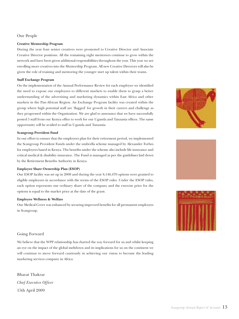#### Our People

#### **Creative Mentorship Program**

During the year four senior creatives were promoted to Creative Director and Associate Creative Director positions. All the remaining eight mentorees continue to grow within the network and have been given additional responsibilities throughout the year. This year we are enrolling more creatives into the Mentorship Program. All new Creative Directors will also be given the role of training and mentoring the younger start up talent within their teams.

#### **Staff Exchange Program**

On the implementation of the Annual Performance Review for each employee we identified the need to expose our employees to different markets to enable them to grasp a better understanding of the advertising and marketing dynamics within East Africa and other markets in the Pan-African Region. An Exchange Program facility was created within the group where high potential staff are 'flagged' for growth in their careers and challenge as they progressed within the Organization. We are glad to announce that we have successfully posted 5 staff from our Kenya office to work for our Uganda and Tanzania offices. The same opportunity will be availed to staff in Uganda and Tanzania.

#### **Scangroup Provident Fund**

In our effort to ensure that the employees plan for their retirement period, we implemented the Scangroup Provident Funds under the umbrella scheme managed by Alexander Forbes for employees based in Kenya. The benefits under the scheme also include life insurance and critical medical & disability insurance. The Fund is managed as per the guidelines laid down by the Retirement Benefits Authority in Kenya.

#### **Employee Share Ownership Plan (ESOP)**

Our ESOP facility was set up in 2008 and during the year 8,146,470 options were granted to eligible employees in accordance with the terms of the ESOP rules. Under the ESOP rules, each option represents one ordinary share of the company and the exercise price for the options is equal to the market price at the date of the grant.

#### **Employee Wellness & Welfare**

Our Medical Cover was enhanced by securing improved benefits for all permanent employees in Scangroup.

#### Going Forward

We believe that the WPP relationship has charted the way forward for us and whilst keeping an eye on the impact of the global meltdown and its implications for us on the continent we will continue to move forward cautiously in achieving our vision to become the leading marketing services company in Africa.

Bharat Thakrar *Chief Executive Officer* 15th April 2009





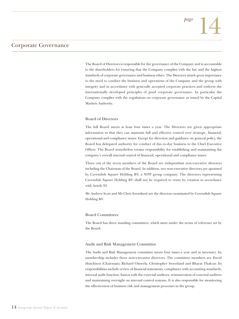# Corporate Governance

The Board of Directors is responsible for the governance of the Company and is accountable to the shareholders for ensuring that the Company complies with the law and the highest standards of corporate governance and business ethics. The Directors attach great importance to the need to conduct the business and operations of the Company and the group with integrity and in accordance with generally accepted corporate practices and endorse the internationally developed principles of good corporate governance. In particular the Company complies with the regulations on corporate governance as issued by the Capital Markets Authority.

#### Board of Directors

The full Board meets at least four times a year. The Directors are given appropriate information so that they can maintain full and effective control over strategic, financial, operational and compliance issues. Except for direction and guidance on general policy, the Board has delegated authority for conduct of day-to-day business to the Chief Executive Officer. The Board nonetheless retains responsibility for establishing and maintaining the company's overall internal control of financial, operational and compliance issues.

Three out of the seven members of the Board are independant non-executive directors including the Chairman of the Board. In addition, two non-executive directors are apointed by Cavendish Square Holding BV, a WPP group company. The directors representing Cavendish Square Holding BV shall not be required to retire by rotation in accordance with Article 93.

Mr Andrew Scott and Mr Chris Sweetland are the directors nominated by Cavendish Square Holding BV.

#### Board Committees

The Board has three standing committees, which meet under the terms of reference set by the Board.

#### Audit and Risk Management Committee

The Audit and Risk Management committee meets four times a year and as necessary. Its membership includes three non-executive directors. The committee members are David Hutchison (Chairman), Richard Omwela, Christopher Sweetland and Bharat Thakrar. Its responsibilities include review of financial statements, compliance with accounting standards, internal audit function, liaison with the external auditors, remuneration of external auditors and maintaining oversight on internal control systems. It is also responsible for monitoring the effectiveness of business risk and management processes in the group.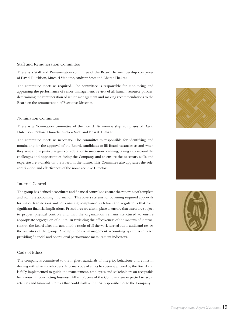#### Staff and Remuneration Committee

There is a Staff and Remuneration committee of the Board. Its membership comprises of David Hutchison, Muchiri Wahome, Andrew Scott and Bharat Thakrar.

The committee meets as required. The committee is responsible for monitoring and appraising the performance of senior management, review of all human resource policies, determining the remuneration of senior management and making recommendations to the Board on the remuneration of Executive Directors.

#### Nomination Committee

There is a Nomination committee of the Board. Its membership comprises of David Hutchison, Richard Omwela, Andrew Scott and Bharat Thakrar.

The committee meets as necessary. The committee is responsible for identifying and nominating for the approval of the Board, candidates to fill Board vacancies as and when they arise and in particular give consideration to succession planning, taking into account the challenges and opportunities facing the Company, and to ensure the necessary skills and expertise are available on the Board in the future. This Committee also appraises the role, contribution and effectiveness of the non-executive Directors.

#### Internal Control

The group has defined procedures and financial controls to ensure the reporting of complete and accurate accounting information. This covers systems for obtaining required approvals for major transactions and for ensuring compliance with laws and regulations that have significant financial implications. Procedures are also in place to ensure that assets are subject to proper physical controls and that the organization remains structured to ensure appropriate segregation of duties. In reviewing the effectiveness of the systems of internal control, the Board takes into account the results of all the work carried out to audit and review the activities of the group. A comprehensive management accounting system is in place providing financial and operational performance measurement indicators.

#### Code of Ethics

The company is committed to the highest standards of integrity, behaviour and ethics in dealing with all its stakeholders. A formal code of ethics has been approved by the Board and is fully implemented to guide the management, employees and stakeholders on acceptable behaviour in conducting business. All employees of the Company are expected to avoid activities and financial interests that could clash with their responsibilities to the Company.





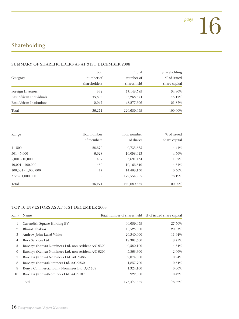# Shareholding

# SUMMARY OF SHAREHOLDERS AS AT 31ST DECEMBER 2008

|                                  | Total        | Total       | Shareholding  |
|----------------------------------|--------------|-------------|---------------|
| Category                         | number of    | number of   | % of issued   |
|                                  | shareholders | shares held | share capital |
| Foreign Investors                | 332          | 77,143,585  | 34.96%        |
| East African Individuals         | 33,892       | 95,268,674  | 43.17%        |
| <b>East African Institutions</b> | 2.047        | 48,277,396  | 21.87%        |
| Total                            | 36,271       | 220,689,655 | 100.00%       |

| Range                 | Total number | Total number | % of issued   |
|-----------------------|--------------|--------------|---------------|
|                       | of members   | of shares    | share capital |
| $1 - 500$             | 28,670       | 9,735,563    | 4.41%         |
| $501 - 5,000$         | 6,628        | 10,058,013   | 4.56%         |
| $5,001 - 10,000$      | 467          | 3,691,434    | 1.67%         |
| $10,001 - 100,000$    | 450          | 10,166,540   | 4.61%         |
| $100,001 - 1,000,000$ | 47           | 14,483,150   | $6.56\%$      |
| Above 1,000,000       | 9            | 172,554,955  | 78.19%        |
| Total                 | 36,271       | 220,689,655  | 100.00%       |

# TOP 10 INVESTORS AS AT 31ST DECEMBER 2008

|                | Rank Name                                            | Total number of shares held % of issued share capital |          |
|----------------|------------------------------------------------------|-------------------------------------------------------|----------|
| 1              | Cavendish Square Holding BV                          | 60,689,655                                            | 27.50%   |
| $\overline{2}$ | <b>Bharat Thakrar</b>                                | 45,523,800                                            | 20.63%   |
| 3              | Andrew John Laird White                              | 26,340,000                                            | 11.94%   |
| $\overline{4}$ | Bora Services Ltd.                                   | 19,301,500                                            | 8.75%    |
| 5              | Barclays (Kenya) Nominees Ltd. non resident A/C 9300 | 9,580,100                                             | 4.34%    |
| 6              | Barclays (Kenya) Nominees Ltd. non resident A/C 9296 | 5,863,300                                             | 2.66%    |
| 7              | Barclays (Kenya) Nominees Ltd. A/C 9486              | 2,074,800                                             | 0.94%    |
| 8              | Barclays (Kenya)Nominees Ltd. A/C 9230               | 1,857,700                                             | 0.84%    |
| 9              | Kenya Commercial Bank Nominees Ltd. A/C 769          | 1,324,100                                             | $0.60\%$ |
| 10             | Barclays (Kenya)Nominees Ltd. A/C 9187               | 922,600                                               | 0.42%    |
|                | Total                                                | 173,477,555                                           | 78.62%   |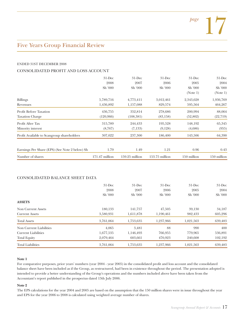# Five Years Group Financial Review

### ENDED 31ST DECEMBER 2008

## CONSOLIDATED PROFIT AND LOSS ACCOUNT

|                                                | $31$ -Dec        | $31$ -Dec        | $31$ -Dec        | $31$ -Dec   | $31$ -Dec   |
|------------------------------------------------|------------------|------------------|------------------|-------------|-------------|
|                                                | 2008             | 2007             | 2006             | 2005        | 2004        |
|                                                | Sh '000          | Sh'000           | $Sh$ '000        | Sh'000      | Sh'000      |
|                                                |                  |                  |                  | (Note 1)    | (Note 1)    |
| <b>Billings</b>                                | 5,789,716        | 4,773,411        | 3,012,461        | 2,343,628   | 1,936,769   |
| Revenues                                       | 1,436,892        | 1,157,088        | 829,574          | 595,564     | 464,267     |
| <b>Profit Before Taxation</b>                  | 436,755          | 352,814          | 278,686          | 200,994     | 88,064      |
| <b>Taxation Charge</b>                         | (120,966)        | (108, 381)       | (83, 158)        | (52, 802)   | (22, 719)   |
| Profit After Tax                               | 315,789          | 244,433          | 195,528          | 148,192     | 65,345      |
| Minority interest                              | (8,767)          | (7,133)          | (9,128)          | (4,686)     | (955)       |
| Profit Available to Scangroup shareholders     | 307,022          | 237,300          | 186,400          | 143,506     | 64,390      |
|                                                |                  |                  |                  |             |             |
| Earnings Per Share (EPS) (See Note 2 below) Sh | 1.79             | 1.49             | 1.21             | 0.96        | 0.43        |
| Number of shares                               | $171.47$ million | $159.25$ million | $153.75$ million | 150 million | 150 million |

# CONSOLIDATED BALANCE SHEET DATA

|                            | $31$ -Dec | $31$ -Dec | $31$ -Dec | $31$ -Dec | $31$ -Dec |
|----------------------------|-----------|-----------|-----------|-----------|-----------|
|                            | 2008      | 2007      | 2006      | 2005      | 2004      |
|                            | Sh '000   | Sh '000   | Sh '000   | Sh '000   | Sh '000   |
| <b>ASSETS</b>              |           |           |           |           |           |
| Non Current Assets         | 180.133   | 141.757   | 47,505    | 39.130    | 34,187    |
| <b>Current Assets</b>      | 3,580,931 | 1,611,878 | 1,190,461 | 982,433   | 605,296   |
| <b>Total Assets</b>        | 3,761,064 | 1,753,635 | 1,237,966 | 1,021,563 | 639,483   |
| Non Current Liabilities    | 4.065     | 3,481     | 88        | 990       | 400       |
| <b>Current Liabilities</b> | 1,677,535 | 1,146,493 | 766,955   | 779,965   | 536,891   |
| <b>Total Equity</b>        | 2,079,464 | 603,661   | 470,923   | 240,608   | 102,192   |
| <b>Total Liabilities</b>   | 3,761,064 | 1,753,635 | 1,237,966 | 1,021,563 | 639,483   |

#### **Note 1**

For comparative purposes, prior years' numbers (year 2004 - year 2005) in the consolidated profit and loss account and the consolidated balance sheet have been included as if the Group, as restructured, had been in existence throughout the period. The presentation adopted is intended to provide a better understanding of the Group's operations and the numbers included above have been taken from the Accountant's report published in the prospectus dated 13th July 2006.

#### **Note 2**

The EPS calculations for the year 2004 and 2005 are based on the assumption that the 150 million shares were in issue throughout the year and EPS for the year 2006 to 2008 is calculated using weighted average number of shares.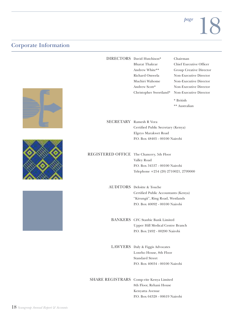# Corporate Information







DIRECTORS David Hutchison\* Chairman Bharat Thakrar Chief Executive Officer Andrew White\*\* Group Creative Director Richard Omwela Non-Executive Director Muchiri Wahome Non-Executive Director Andrew Scott\* Non-Executive Director Christopher Sweetland\* Non-Executive Director \* British

\*\* Australian

SECRETARY Ramesh R Vora Certified Public Secretary (Kenya) Elgeyo Marakwet Road P.O. Box 48405 - 00100 Nairobi

REGISTERED OFFICE The Chancery, 5th Floor Valley Road P.O. Box 34537 - 00100 Nairobi Telephone +254 (20) 2710021, 2799000

> AUDITORS Deloitte & Touche Certified Public Accountants (Kenya) "Kirungii", Ring Road, Westlands P.O. Box 40092 - 00100 Nairobi

BANKERS CFC Stanbic Bank Limited Upper Hill Medical Centre Branch P.O. Box 2492 - 00200 Nairobi

LAWYERS Daly & Figgis Advocates Lonrho House, 8th Floor Standard Street P.O. Box 40034 - 00100 Nairobi

SHARE REGISTRARS Comp-rite Kenya Limited 8th Floor, Rehani House Kenyatta Avenue P.O. Box 64328 - 00619 Nairobi

*page* 18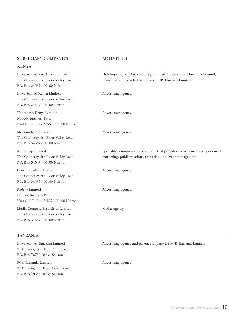#### SUBSIDIARY COMPANIES ACTIVITIES

KENYA

# Lowe Scanad East Africa Limited Holding company for Roundtrip Limited, Lowe Scanad Tanzania Limited, The Chancery, 5th Floor Valley Road Lowe Scanad Uganda Limited and FCB Tanzania Limited. P.O. Box 34537 - 00100 Nairobi Lowe Scanad Kenya Limited Advertising agency.

The Chancery, 5th Floor Valley Road P.O. Box 34537 - 00100 Nairobi

Thompson Kenya Limited Advertising agency. Nairobi Business Park Unit C, P.O. Box 34537 - 00100 Nairobi

McCann Kenya Limited Advertising agency. The Chancery, 5th Floor Valley Road P.O. Box 34537 - 00100 Nairobi

Roundtrip Limited Speciality communication company that provides services such as experiential The Chancery, 5th Floor Valley Road marketing, public relations, activation and event management. P.O. Box 34537 - 00100 Nairobi

Grey East Africa Limited Advertising agency. The Chancery, 5th Floor Valley Road P.O. Box 34537 - 00100 Nairobi

Redsky Limited Advertising agency. Nairobi Business Park Unit C, P.O. Box 34537 - 00100 Nairobi

Media Compete East Africa Limited Media Agency. The Chancery, 5th Floor Valley Road P.O. Box 34537 - 00100 Nairobi

#### TANZANIA

Lowe Scanad Tanzania Limited Advertising agency and parent company for FCB Tanzania Limited. P.P.F Tower, 17th Floor Ohio street P.O. Box 78769 Dar es Salaam FCB Tanzania Limited Advertising agency

P.P.F Tower, 2nd Floor Ohio street P.O. Box 79356 Dar es Salaam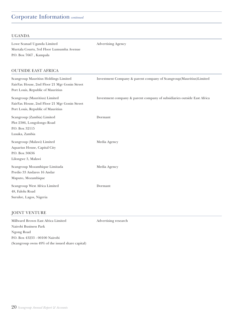# Corporate Information *continued*

#### UGANDA

Lowe Scanad Uganda Limited Advertising Agency Murtala Courts, 3rd Floor Lumumba Avenue P.O. Box 7667 , Kampala

#### OUTSIDE EAST AFRICA

| Scangroup Mauritius Holdings Limited<br>FairFax House, 2nd Floor 21 Mgr Gonin Street<br>Port Louis, Republic of Mauritius | Investment Company & parent company of Scangroup(Mauritius)Limited      |
|---------------------------------------------------------------------------------------------------------------------------|-------------------------------------------------------------------------|
| Scangroup (Mauritius) Limited<br>FairFax House, 2nd Floor 21 Mgr Gonin Street<br>Port Louis, Republic of Mauritius        | Investment company & parent company of subsidiaries outside East Africa |
| Scangroup (Zambia) Limited<br>Plot 2386, Longolongo Road<br>P.O. Box 32115<br>Lusaka, Zambia                              | Dormant                                                                 |
| Scangroup (Malawi) Limited<br>Aquarius House, Capital City<br>P.O. Box 30636<br>Lilongwe 3, Malawi                        | Media Agency                                                            |
| Scangroup Mozambique Limitada<br>Predio 33 Andares 16 Andar<br>Maputo, Mozambique                                         | Media Agency                                                            |
| Scangroup West Africa Limited<br>48, Falolu Road<br>Surulee, Lagos, Nigeria                                               | Dormant                                                                 |

#### JOINT VENTURE

Millward Brown East Africa Limited Advertising research Nairobi Business Park Ngong Road P.O. Box 43233 - 00100 Nairobi (Scangroup owns 49% of the issued share capital)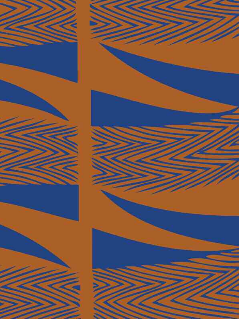

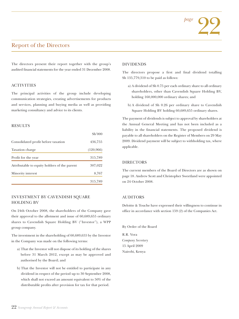*page*

22

# Report of the Directors

The directors present their report together with the group's audited financial statements for the year ended 31 December 2008.

#### **ACTIVITIES**

The principal activities of the group include developing communication strategies, creating advertisements for products and services, planning and buying media as well as providing marketing consultancy and advice to its clients.

#### **RESULTS**

|                                              | Sh'000     |
|----------------------------------------------|------------|
| Consolidated profit before taxation          | 436,755    |
| <b>Taxation charge</b>                       | (120, 966) |
| Profit for the year                          | 315,789    |
| Attributable to equity holders of the parent | 307,022    |
| Minority interest                            | 8,767      |
|                                              | 315,789    |

### INVESTMENT BY CAVENDISH SQUARE HOLDING BV

On 24th October 2008, the shareholders of the Company gave their approval to the allotment and issue of 60,689,655 ordinary shares to Cavendish Square Holding BV ("Investor"), a WPP group company.

The investment in the shareholding of 60,689,655 by the Investor in the Company was made on the following terms:

- a) That the Investor will not dispose of its holding of the shares before 31 March 2012, except as may be approved and authorised by the Board; and
- b) That the Investor will not be entitled to participate in any dividend in respect of the period up to 30 September 2008, which shall not exceed an amount equivalent to 50% of the distributable profits after provision for tax for that period.

#### DIVIDENDS

The directors propose a first and final dividend totalling Sh 135,779,310 to be paid as follows:

- a) A dividend of Sh 0.75 per each ordinary share to all ordinary shareholders, other than Cavendish Square Holding BV. holding 160,000,000 ordinary shares; and
- b) A dividend of Sh 0.26 per ordinary share to Cavendish Square Holding BV holding 60,689,655 ordinary shares.

The payment of dividends is subject to approval by shareholders at the Annual General Meeting and has not been included as a liability in the financial statements. The proposed dividend is payable to all shareholders on the Register of Members on 29 May 2009. Dividend payment will be subject to withholding tax, where applicable.

#### DIRECTORS

The current members of the Board of Directors are as shown on page 18. Andrew Scott and Christopher Sweetland were appointed on 24 October 2008.

#### AUDITORS

Deloitte & Touche have expressed their willingness to continue in office in accordance with section 159 (2) of the Companies Act.

By Order of the Board

R.R. Vora *Company Secretary* 15 April 2009 Nairobi, Kenya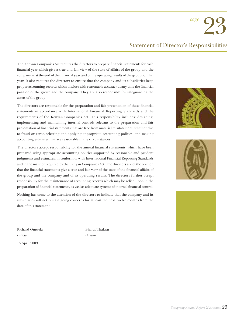*page* 23

# Statement of Director's Responsibilities

The Kenyan Companies Act requires the directors to prepare financial statements for each financial year which give a true and fair view of the state of affairs of the group and the company as at the end of the financial year and of the operating results of the group for that year. It also requires the directors to ensure that the company and its subsidiaries keep proper accounting records which disclose with reasonable accuracy at any time the financial position of the group and the company. They are also responsible for safeguarding the assets of the group.

The directors are responsible for the preparation and fair presentation of these financial statements in accordance with International Financial Reporting Standards and the requirements of the Kenyan Companies Act. This responsibility includes: designing, implementing and maintaining internal controls relevant to the preparation and fair presentation of financial statements that are free from material misstatement, whether due to fraud or error, selecting and applying appropriate accounting policies, and making accounting estimates that are reasonable in the circumstances.

The directors accept responsibility for the annual financial statements, which have been prepared using appropriate accounting policies supported by reasonable and prudent judgments and estimates, in conformity with International Financial Reporting Standards and in the manner required by the Kenyan Companies Act. The directors are of the opinion that the financial statements give a true and fair view of the state of the financial affairs of the group and the company and of its operating results. The directors further accept responsibility for the maintenance of accounting records which may be relied upon in the preparation of financial statements, as well as adequate systems of internal financial control.

Nothing has come to the attention of the directors to indicate that the company and its subsidiaries will not remain going concerns for at least the next twelve months from the date of this statement.

Richard Omwela Bharat Thakrar *Director Director* 15 April 2009





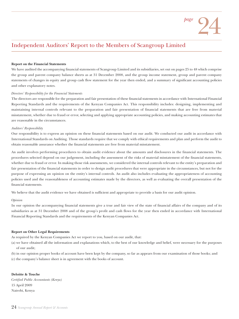# Independent Auditors' Report to the Members of Scangroup Limited

#### **Report on the Financial Statements**

We have audited the accompanying financial statements of Scangroup Limited and its subsidiaries, set out on pages 25 to 48 which comprise the group and parent company balance sheets as at 31 December 2008, and the group income statement, group and parent company statements of changes in equity and group cash flow statement for the year then ended, and a summary of significant accounting policies and other explanatory notes.

*page*

24

#### *Directors' Responsibility for the Financial Statements*

The directors are responsible for the preparation and fair presentation of these financial statements in accordance with International Financial Reporting Standards and the requirements of the Kenyan Companies Act. This responsibility includes: designing, implementing and maintaining internal controls relevant to the preparation and fair presentation of financial statements that are free from material misstatement, whether due to fraud or error, selecting and applying appropriate accounting policies, and making accounting estimates that are reasonable in the circumstances.

#### *Auditors' Responsibility*

Our responsibility is to express an opinion on these financial statements based on our audit. We conducted our audit in accordance with International Standards on Auditing. Those standards require that we comply with ethical requirements and plan and perform the audit to obtain reasonable assurance whether the financial statements are free from material misstatement.

An audit involves performing procedures to obtain audit evidence about the amounts and disclosures in the financial statements. The procedures selected depend on our judgement, including the assessment of the risks of material misstatement of the financial statements, whether due to fraud or error. In making those risk assessments, we considered the internal controls relevant to the entity's preparation and fair presentation of the financial statements in order to design audit procedures that were appropriate in the circumstances, but not for the purpose of expressing an opinion on the entity's internal controls. An audit also includes evaluating the appropriateness of accounting policies used and the reasonableness of accounting estimates made by the directors, as well as evaluating the overall presentation of the financial statements.

We believe that the audit evidence we have obtained is sufficient and appropriate to provide a basis for our audit opinion.

#### *Opinion*

In our opinion the accompanying financial statements give a true and fair view of the state of financial affairs of the company and of its subsidiaries as at 31 December 2008 and of the group's profit and cash flows for the year then ended in accordance with International Financial Reporting Standards and the requirements of the Kenyan Companies Act.

#### **Report on Other Legal Requirements**

As required by the Kenyan Companies Act we report to you, based on our audit, that:

- (a) we have obtained all the information and explanations which, to the best of our knowledge and belief, were necessary for the purposes of our audit;
- (b) in our opinion proper books of account have been kept by the company, so far as appears from our examination of those books; and
- (c) the company's balance sheet is in agreement with the books of account.

### **Deloitte & Touche** *Certified Public Accountants (Kenya)* 15 April 2009 Nairobi, Kenya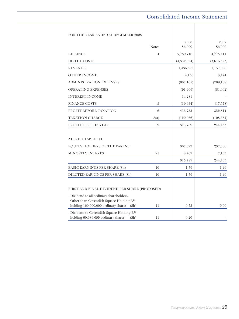# Consolidated Income Statement

| FOR THE YEAR ENDED 31 DECEMBER 2008                                                   |              |             |             |
|---------------------------------------------------------------------------------------|--------------|-------------|-------------|
|                                                                                       |              | 2008        | 2007        |
|                                                                                       | <b>Notes</b> | Sh'000      | Sh'000      |
| <b>BILLINGS</b>                                                                       | 4            | 5,789,716   | 4,773,411   |
| <b>DIRECT COSTS</b>                                                                   |              | (4,352,824) | (3,616,323) |
| <b>REVENUE</b>                                                                        |              | 1,436,892   | 1,157,088   |
| OTHER INCOME                                                                          |              | 4,150       | 3,474       |
| <b>ADMINISTRATION EXPENSES</b>                                                        |              | (907, 165)  | (709, 168)  |
| <b>OPERATING EXPENSES</b>                                                             |              | (91, 469)   | (81,002)    |
| <b>INTEREST INCOME</b>                                                                |              | 14,281      |             |
| <b>FINANCE COSTS</b>                                                                  | 5            | (19, 934)   | (17,578)    |
| PROFIT BEFORE TAXATION                                                                | 6            | 436,755     | 352,814     |
| <b>TAXATION CHARGE</b>                                                                | 8(a)         | (120, 966)  | (108, 381)  |
| PROFIT FOR THE YEAR                                                                   | 9            | 315,789     | 244,433     |
|                                                                                       |              |             |             |
| <b>ATTRIBUTABLE TO:</b>                                                               |              |             |             |
| EQUITY HOLDERS OF THE PARENT                                                          |              | 307,022     | 237,300     |
| MINORITY INTEREST                                                                     | 21           | 8,767       | 7,133       |
|                                                                                       |              | 315,789     | 244,433     |
| BASIC EARNINGS PER SHARE (Sh)                                                         | 10           | 1.79        | 1.49        |
| DILUTED EARNINGS PER SHARE (Sh)                                                       | 10           | 1.79        | 1.49        |
|                                                                                       |              |             |             |
| FIRST AND FINAL DIVIDEND PER SHARE (PROPOSED)                                         |              |             |             |
| - Dividend to all ordinary shareholders,                                              |              |             |             |
| Other than Cavendish Square Holding BV<br>holding 160,000,000 ordinary shares<br>(Sh) | 11           | 0.75        | 0.90        |
| - Dividend to Cavendish Square Holding BV                                             |              |             |             |
| holding 60,689,655 ordinary shares<br>(Sh)                                            | 11           | 0.26        |             |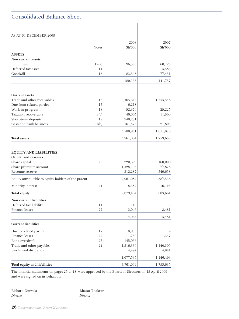# Consolidated Balance Sheet

| AS AT 31 DECEMBER 2008                              |              |                    |           |
|-----------------------------------------------------|--------------|--------------------|-----------|
|                                                     |              | 2008               | 2007      |
|                                                     | <b>Notes</b> | Sh'000             | Sh'000    |
| <b>ASSETS</b>                                       |              |                    |           |
| Non current assets                                  |              |                    |           |
| Equipment                                           | 12(a)        | 96,585             | 60,723    |
| Deferred tax asset                                  | 14           |                    | 3,583     |
| Goodwill                                            | 15           | 83,548             | 77,451    |
|                                                     |              | 180,133            | 141,757   |
|                                                     |              |                    |           |
| <b>Current assets</b>                               |              |                    |           |
| Trade and other receivables                         | 16           | 2,365,622          | 1,553,548 |
| Due from related parties                            | 17<br>18     | 6,218              |           |
| Work-in-progress<br>Taxation recoverable            |              | 52,370             | 25,225    |
| Short-term deposits                                 | 8(c)<br>19   | 46,065             | 11,300    |
| Cash and bank balances                              | 25(b)        | 949,281<br>161,375 | 21,805    |
|                                                     |              |                    |           |
|                                                     |              | 3,580,931          | 1,611,878 |
| <b>Total assets</b>                                 |              | 3,761,064          | 1,753,635 |
|                                                     |              |                    |           |
| <b>EQUITY AND LIABILITIES</b>                       |              |                    |           |
| <b>Capital and reserves</b>                         |              |                    |           |
| Share capital                                       | 20           | 220,690            | 160,000   |
| Share premium account                               |              | 1,328,105          | 77,878    |
| Revenue reserve                                     |              | 512,287            | 349,658   |
| Equity attributable to equity holders of the parent |              | 2,061,082          | 587,536   |
| Minority interest                                   | 21           | 18,382             | 16,125    |
| <b>Total equity</b>                                 |              | 2,079,464          | 603,661   |
| Non current liabilities                             |              |                    |           |
| Deferred tax liability                              | 14           | 119                |           |
| Finance leases                                      | 22           | 3,946              | 3,481     |
|                                                     |              | 4,065              | 3,481     |
| <b>Current liabilities</b>                          |              |                    |           |
| Due to related parties                              | 17           | 8,983              |           |
| Finance leases                                      | 22           | 1,760              | 1,347     |
| <b>Bank</b> overdraft                               | 23           | 145,965            |           |
| Trade and other payables                            | 24           | 1,516,330          | 1,140,305 |
| Unclaimed dividends                                 |              | 4,497              | 4,841     |
|                                                     |              | 1,677,535          | 1,146,493 |
| Total equity and liabilities                        |              | 3,761,064          | 1,753,635 |

The financial statements on pages 25 to 48 were approved by the Board of Directors on 15 April 2009 and were signed on its behalf by:

Richard Omwela Bharat Thakrar *Director Director*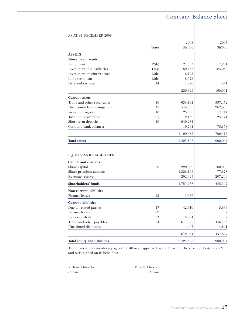# Company Balance Sheet

| AS AT 31 DECEMBER 2008        |              |           |         |
|-------------------------------|--------------|-----------|---------|
|                               |              | 2008      | 2007    |
|                               | <b>Notes</b> | Sh'000    | Sh'000  |
| <b>ASSETS</b>                 |              |           |         |
| Non current assets            |              |           |         |
| Equipment                     | 12(b)        | 21,333    | 7,261   |
| Investment in subsidiaries    | 13(a)        | 189,266   | 183,089 |
| Investment in joint venture   | 13(b)        | 6,125     |         |
| Long term loan                | 13(b)        | 8,575     |         |
| Deferred tax asset            | 14           | 1,026     | 341     |
|                               |              | 226,325   | 190,691 |
| <b>Current assets</b>         |              |           |         |
| Trade and other receivables   | 16           | 633,144   | 337,452 |
| Due from related companies    | 17           | 574,305   | 262,688 |
| Work in progress              | 18           | 23,830    | 7,144   |
| Taxation recoverable          | 8(c)         | 2,189     | 23,171  |
| Short-term deposits           | 19           | 949,281   |         |
| Cash and bank balances        |              | 16,734    | 78,858  |
|                               |              | 2,199,483 | 709,313 |
| <b>Total assets</b>           |              | 2,425,808 | 900,004 |
|                               |              |           |         |
| <b>EQUITY AND LIABILITIES</b> |              |           |         |
| <b>Capital and reserves</b>   |              |           |         |
| Share capital                 | 20           | 220,690   | 160,000 |
| Share premium account         |              | 1,328,105 | 77,878  |
| Revenue reserve               |              | 202,443   | 207,269 |
| Shareholders' funds           |              | 1,751,238 | 445,147 |
| Non current liabilities       |              |           |         |
| <b>Finance leases</b>         | 22           | 1,636     |         |
| <b>Current liabilities</b>    |              |           |         |
| Due to related parties        | 17           | 42,310    | 3,833   |
| Finance leases                | 22           | 588       |         |
| <b>Bank</b> overdraft         | 23           | 13,994    |         |
| Trade and other payables      | 24           | 611,545   | 446,183 |
| Unclaimed dividends           |              | 4,497     | 4,841   |
|                               |              | 672,934   | 454,857 |
| Total equity and liabilities  |              | 2,425,808 | 900,004 |

The financial statements on pages 25 to 48 were approved by the Board of Directors on 15 April 2009 and were signed on its behalf by:

| Richard Omwela | <b>Bharat Thakrar</b> |
|----------------|-----------------------|
| Director       | Director              |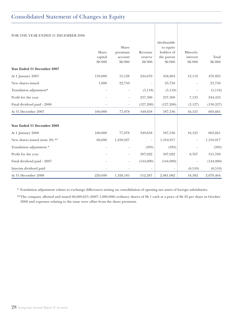# Consolidated Statement of Changes in Equity

|                                |         |           |                          | Attributable             |                          |                   |
|--------------------------------|---------|-----------|--------------------------|--------------------------|--------------------------|-------------------|
|                                |         | Share     |                          | to equity                |                          |                   |
|                                | Share   | premium   | Revenue                  | holders of               | Minority                 |                   |
|                                | capital | account   | reserve                  | the parent               | interest                 | Total             |
|                                | Sh'000  | Sh'000    | Sh'000                   | Sh'000                   | Sh'000                   | $\mathrm{Sh}'000$ |
| Year Ended 31 December 2007    |         |           |                          |                          |                          |                   |
| At 1 January 2007              | 159,000 | 55,128    | 244,676                  | 458,804                  | 12,119                   | 470,923           |
| New shares issued              | 1,000   | 22,750    |                          | 23,750                   |                          | 23,750            |
| Translation adjustment*        |         |           | (5,118)                  | (5,118)                  |                          | (5,118)           |
| Profit for the year            |         |           | 237,300                  | 237,300                  | 7,133                    | 244,433           |
| Final dividend paid - 2006     |         |           | (127,200)                | (127,200)                | (3,127)                  | (130, 327)        |
| At 31 December 2007            | 160,000 | 77,878    | 349,658                  | 587,536                  | 16,125                   | 603,661           |
| Year Ended 31 December 2008    |         |           |                          |                          |                          |                   |
| At 1 January 2008              | 160,000 | 77,878    | 349,658                  | 587,536                  | 16,125                   | 603,661           |
| New shares issued (note 20) ** | 60,690  | 1,250,227 | ÷,                       | 1,310,917                | $\overline{\phantom{a}}$ | 1,310,917         |
| Translation adjustment *       |         |           | (393)                    | (393)                    |                          | (393)             |
| Profit for the year            |         |           | 307,022                  | 307,022                  | 8,767                    | 315,789           |
| Final dividend paid - 2007     |         |           | (144,000)                | (144,000)                |                          | (144,000)         |
| Interim dividend paid          |         |           | $\overline{\phantom{m}}$ | $\overline{\phantom{a}}$ | (6,510)                  | (6,510)           |
| At 31 December 2008            | 220,690 | 1,328,105 | 512,287                  | 2,061,082                | 18,382                   | 2,079,464         |

\* Translation adjustment relates to exchange differences arising on consolidation of opening net assets of foreign subsidiaries.

\*\*The company allotted and issued 60,689,655 (2007-1,000,000) ordinary shares of Sh 1 each at a price of Sh 22 per share in October 2008 and expenses relating to the issue were offset from the share premium.

#### FOR THE YEAR ENDED 31 DECEMBER 2008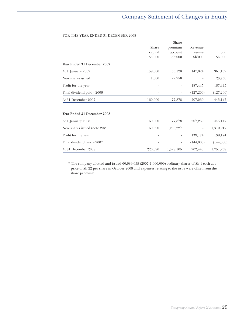|                             | Share            |         |         |         |  |
|-----------------------------|------------------|---------|---------|---------|--|
|                             | Share<br>premium |         | Revenue |         |  |
|                             | capital          | account | reserve | Total   |  |
|                             | Sh'000           | Sh'000  | Sh'000  | Sh'000  |  |
| Year Ended 31 December 2007 |                  |         |         |         |  |
| At 1 January 2007           | 159,000          | 55,128  | 147,024 | 361,152 |  |
| New shares issued           | 1,000            | 22,750  |         | 23,750  |  |
| Profit for the year         |                  |         | 187.445 | 187,445 |  |

#### FOR THE YEAR ENDED 31 DECEMBER 2008

| <b>Year Ended 31 December 2008</b> |         |           |           |           |
|------------------------------------|---------|-----------|-----------|-----------|
| At 1 January 2008                  | 160,000 | 77,878    | 207,269   | 445,147   |
| New shares issued (note $20$ )*    | 60.690  | 1,250,227 | ۰         | 1,310,917 |
| Profit for the year                |         | ٠         | 139.174   | 139,174   |
| Final dividend paid - 2007         | ٠       | ۰         | (144,000) | (144,000) |
| At 31 December 2008                | 220,690 | 1,328,105 | 202,443   | 1,751,238 |

Final dividend paid - 2006 - - (127,200) (127,200) (127,200) At 31 December 2007 160,000 77,878 207,269 445,147

\* The company allotted and issued 60,689,655 (2007-1,000,000) ordinary shares of Sh 1 each at a price of Sh 22 per share in October 2008 and expenses relating to the issue were offset from the share premium.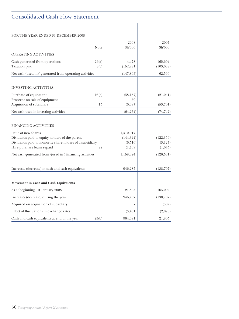# Consolidated Cash Flow Statement

| FOR THE YEAR ENDED 31 DECEMBER 2008                      |       |            |            |
|----------------------------------------------------------|-------|------------|------------|
|                                                          |       | 2008       | 2007       |
|                                                          | Note  | Sh'000     | Sh'000     |
| OPERATING ACTIVITIES                                     |       |            |            |
| Cash generated from operations                           | 25(a) | 4,478      | 165,604    |
| <b>Taxation</b> paid                                     | 8(c)  | (152, 281) | (103, 038) |
| Net cash (used in)/ generated from operating activities  |       | (147, 803) | 62,566     |
| <b>INVESTING ACTIVITIES</b>                              |       |            |            |
| Purchase of equipment                                    | 25(c) | (58, 187)  | (21,041)   |
| Proceeds on sale of equipment                            |       | 50         |            |
| Acquisition of subsidiary                                | 15    | (6,097)    | (53, 701)  |
| Net cash used in investing activities                    |       | (64, 234)  | (74, 742)  |
| <b>FINANCING ACTIVITIES</b>                              |       |            |            |
| Issue of new shares                                      |       | 1,310,917  |            |
| Dividends paid to equity holders of the parent           |       | (144, 344) | (122, 359) |
| Dividends paid to monority shareholders of a subsidiary  |       | (6,510)    | (3,127)    |
| Hire purchase loans repaid                               | 22    | (1,739)    | (1,045)    |
| Net cash generated from /(used in ) financing activities |       | 1,158,324  | (126, 531) |
| Increase/ (decrease) in cash and cash equivalents        |       | 946,287    | (138, 707) |
|                                                          |       |            |            |
| Movement in Cash and Cash Equivalents                    |       |            |            |
| As at beginning 1st January 2008                         |       | 21,805     | 163,092    |
| Increase/ (decrease) during the year                     |       | 946,287    | (138, 707) |
| Acquired on acquisition of subsidiary                    |       |            | (502)      |
| Effect of fluctuations in exchange rates                 |       | (3,401)    | (2,078)    |
| Cash and cash equivalents at end of the year             | 25(b) | 964,691    | 21,805     |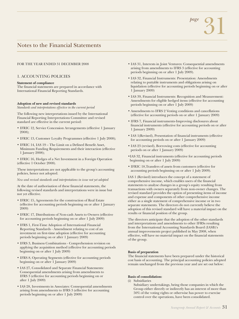# Notes to the Financial Statements

#### FOR THE YEAR ENDED 31 DECEMBER 2008

#### 1. ACCOUNTING POLICIES

#### **Statement of compliance**

The financial statements are prepared in accordance with International Financial Reporting Standards.

#### **Adoption of new and revised standards**

*Standards and interpretations effective in the current period*

The following new interpretations issued by the International Financial Reporting Interpretations Committee and revised standard are effective in the current period:

- IFRIC 12, Service Concession Arrangements (effective 1 January 2008);
- IFRIC 13, Customer Loyalty Programmes (effective 1 July 2008);
- IFRIC 14, IAS 19 The Limit on a Defined Benefit Asset, Minimum Funding Requirements and their interaction (effective 1 January 2008);

• IFRIC 16, Hedges of a Net Investment in a Foreign Operation (effective 1 October 2008).

These interpretations are not applicable to the group's accounting policies, hence not adopted.

#### *New and revised standards and interpretations in issue not yet adopted*

At the date of authorisation of these financial statements, the following revised standards and interpretations were in issue but not yet effective.

- IFRIC 15, Agreements for the construction of Real Estate (effective for accounting periods beginning on or after 1 January 2009)
- IFRIC 17, Distributions of Non-cash Assets to Owners (effective for accounting periods beginning on or after 1 July 2009)
- IFRS 1, First-Time Adoption of International Financial Reporting Standards - Amendment relating to cost of an investment on first-time adoption (effective for accounting periods beginning on or after 1 January 2009)
- IFRS 3, Business Combinations Comprehension revision on applying the acquisition method (effective for accounting periods beginning on or after 1 July 2009)
- IFRS 8, Operating Segments (effective for accounting periods beginning on or after 1 January 2009)
- IAS 27, Consolidated and Separate Financial Statements: Consequential amendments arising from amendments to IFRS 3 (effective for accounting periods beginning on or after 1 July 2009)
- IAS 28, Investments in Associates: Consequential amendments arising from amendments to IFRS 3 (effective for accounting periods beginning on or after 1 July 2009)

• IAS 31, Interests in Joint Ventures: Consequential amendments arising from amendments to IFRS 3 (effective for accounting periods beginning on or after 1 July 2009).

*page*

31

- IAS 32, Financial Instruments: Presentation: Amendments relating to puttable instruments and obligations arising on liquidation (effective for accounting periods beginning on or after 1 January 2009)
- IAS 39, Financial Instruments: Recognition and Measurement: Amendments for eligible hedged items (effective for accounting periods beginning on or after 1 July 2009)
- Amendments to IFRS 2 Vesting conditions and cancellations (effective for accounting periods on or after 1 January 2009)
- IFRS 7, Financial instruments-Improving disclosures about financial instruments (effective for accounting periods on or after 1 January 2009)
- IAS 1(Revised), Presentation of financial instruments (effective for accounting periods on or after 1 January 2009)
- IAS 23 (revised), Borrowing costs (effective for accounting periods on or after 1 January 2009)
- •IAS 32, Financial instruments (effective for accounting periods beginning on or after 1 July 2009)
- IFRIC 18,Transfers of assets from customers (effective for accounting periods beginning on or after 1 July 2009).

IAS 1 (Revised) introduces the concept of a statement of comprehensive income, which enables users of the financial statements to analyse changes in a group's equity resulting from transactions with owners separately from non-owner changes. The revised standard provides the option of presenting items of income and expense and components of other comprehensive income either as a single statement of comprehensive income or in two separate statements. The directors do not currently believe the adoption of this revised standard will have a material impact on the results or financial position of the group.

The directors anticipate that the adoption of the other standards and interpretations and amendments to other IFRSs resulting from the International Accounting Standards Board (IASB)'s annual improvements project published in May 2008, when effective, will have no material impact on the financial statements of the group.

#### **Basis of preparation**

The financial statements have been prepared under the historical cost basis of accounting. The principal accounting policies adopted remain unchanged from the previous year and are set out below:

#### **Basis of consolidation:**

(i) Subsidiaries

Subsidiary undertakings, being those companies in which the Group either directly or indirectly has an interest of more than 50% of the voting rights or otherwise has power to exercise control over the operations, have been consolidated.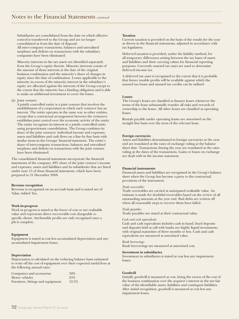Subsidiaries are consolidated from the date on which effective control is transferred to the Group and are no longer consolidated as from the date of disposal. All inter-company transactions, balances and unrealised surpluses and deficits on transactions with the subsidiary companies have been eliminated.

Minority interests in the net assets are identified separately from the Group's equity therein. Minority interests consist of the amount of those interests at the date of the original business combination and the minority's share of changes in equity since the date of combination. Losses applicable to the minority in excess of the minority interest in the subsidiary's equity are allocated against the interests of the Group except to the extent that the minority has a binding obligation and is able to make an additional investment to cover the losses.

#### (ii) Joint venture

A jointly controlled entity is a joint venture that involves the establishment of a corporation in which each venturer has an interest. The entity operates in the same way as other entities, except that a contractual arrangement between the venturers establishes joint control over the economic activity of the entity. The entity recognises its interest in a jointly controlled entity using proportionate consolidation. The Group combines its share of the joint ventures' individual income and expenses, assets and liabilities and cash flows on a line-by-line basis with similar items in the Groups' financial statement. The entity's share of intercompany transactions, balances and unrealised surpluses and deficits on transactions with the joint venture have been eliminated.

The consolidated financial statements incorporate the financial statements of the company, 49% share of the joint venture's income and expenses, assets and liabilities and its subsidiaries that are listed under note 13 of these financial statements, which have been prepared to 31 December 2008.

#### **Revenue recognition**

Revenue is recognised on an accruals basis and is stated net of Value Added Tax.

#### **Work-in-progress**

Work in progress is stated at the lower of cost or net realisable value and represents direct recoverable cost chargeable to specific clients. Attributable profits are only recognised once a job is complete.

#### **Equipment**

Equipment is stated at cost less accumulated depreciation and any accumulated impairment losses.

#### **Depreciation**

Depreciation is calculated on the reducing balance basis estimated to write off the cost of equipment over their expected useful lives at the following annual rates:

| Computers and accessories         | 30%   |
|-----------------------------------|-------|
| Motor vehicles                    | 25%   |
| Furniture, fittings and equipment | 12.5% |

#### **Taxation**

Current taxation is provided on the basis of the results for the year as shown in the financial statements, adjusted in accordance with tax legislation.

Deferred taxation is provided, under the liability method, for all temporary differences arising between the tax bases of assets and liabilities and their carrying values for financial reporting purposes. Currently enacted tax rates are used to determine deferred income tax.

A deferred tax asset is recognised to the extent that it is probable that future taxable profits will be available against which the unused tax losses and unused tax credits can be utilised.

#### **Leases**

The Group's leases are classified as finance leases whenever the terms of the lease substantially transfer all risks and rewards of ownership to the lessee. All other leases are classified as operating leases.

Rentals payable under operating leases are amortised on the straight line basis over the term of the relevant lease.

#### **Foreign currencies**

Assets and liabilities denominated in foreign currencies at the year end are translated at the rates of exchange ruling at the balance sheet date. Transactions during the year are translated at the rates ruling at the dates of the transactions. Gains or losses on exchange are dealt with in the income statement.

#### **Financial instruments**

Financial assets and liabilities are recognised in the Group's balance sheet when the Group has become a party to the contractual provisions of the instrument.

#### *Trade receivables*

Trade receivables are carried at anticipated realisable value. An estimate is made for doubtful receivables based on the review of all outstanding amounts at the year end. Bad debts are written off when all reasonable steps to recover them have failed.

#### *Trade payables*

Trade payables are stated at their contractual value.

#### *Cash and cash equivalents*

Cash and cash equivalents includes cash in hand, fixed deposits and deposits held at call with banks are highly liquid investments with original maturities of three months or less. Cash and cash equivalents are measured at amortised value.

#### *Bank borrowings*

Bank borrowings are measured at amortised cost.

#### **Investment in subsidiaries**

Investment in subsidiaries is stated at cost less any impairment losses.

#### **Goodwill**

Initially goodwill is measured at cost, being the excess of the cost of the business combination over the acquirer's interest in the net fair value of the identifiable assets, liabilities and contingent liabilities. After initial recognition, goodwill is measured at cost less any impairment losses.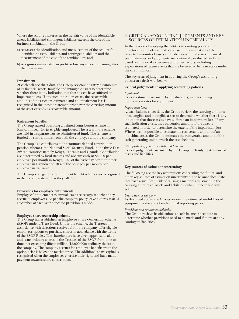Where the acquired interest in the net fair value of the identifiable assets, liabilities and contingent liabilities exceeds the cost of the business combination, the Group:

- a) reassesses the identification and measurement of the acquiree's identifiable assets, liabilities and contingent liabilities and the measurement of the cost of the combination; and
- b) recognises immediately in profit or loss any excess remaining after that reassessment

#### **Impairment**

At each balance sheet date, the Group reviews the carrying amounts of its financial assets, tangible and intangible assets to determine whether there is any indication that those assets have suffered an impairment loss. If any such indication exists, the recoverable amounts of the asset are estimated and an impairment loss is recognized in the income statement whenever the carrying amount of the asset exceeds its recoverable amount.

#### **Retirement benefits**

The Group started operating a defined contribution scheme in Kenya this year for its eligible employees. The assets of the scheme are held in a separate trustee administered fund. The scheme is funded by contributions from both the employee and the company.

The Group also contributes to the statutory defined contribution pension schemes, the National Social Security Fund, in the three East African countries namely Kenya, Tanzania and Uganda. Contribution are determined by local statutes and are currently at Sh 200 per employee per month in Kenya, 10% of the basic pay per month per employee in Uganda and 10% of the basic pay per month per employee in Tanzania.

The Group's obligations to retirement benefit schemes are recognised in the income statement as they fall due.

#### **Provisions for employee entitlements**

Employees' entitlements to annual leave are recognised when they accrue to employees. As per the company policy leave expires as at 31 December of each year hence no provision is made.

#### **Employee share ownership scheme**

The Group has established an Employee Share Ownership Scheme (ESOP) under a Trust Deed. Under the scheme, the Trustees in accordance with directions received from the company offer eligible employees options to purchase shares in accordance with the terms of the ESOP Rules. The shareholders have given approval to allot and issue ordinary shares to the Trustees of the ESOP, from time to time, not exceeding fifteen million (15,000,000) ordinary shares in the company. The company accrues for employee benefits when the option price is below the market price. The additional share capital is recognised when the employees exercise their right and have made payment towards share subscription.

#### 2. CRITICAL ACCOUNTING JUDGMENTS AND KEY SOURCES OF ESTIMATION UNCERTAINTY

In the process of applying the entity's accounting policies, the directors have made estimates and assumptions that affect the reported amounts of assets and liabilities within the next financial year. Estimates and judgments are continually evaluated and are based on historical experience and other factors, including expectations of future events that are believed to be reasonable under the circumstances.

The key areas of judgment in applying the Group's accounting policies are dealt with below:

#### **Critical judgements in applying accounting policies**

#### *Equipment*

Critical estimates are made by the directors, in determining depreciation rates for equipment.

#### *Impairment losses*

At each balance sheet date, the Group reviews the carrying amounts of its tangible and intangible assets to determine whether there is any indication that those assets have suffered an impairment loss. If any such indication exists, the recoverable amount of the asset is estimated in order to determine the extent of the impairment loss. Where it is not possible to estimate the recoverable amount of an individual asset, the Group estimates the recoverable amount of the cash generating unit to which the asset belongs.

#### *Classification of financial assets and liabilities*

Critical judgements are made by the Group in classifying its financial assets and liabilities.

#### **Key sources of estimation uncertainty**

The following are the key assumptions concerning the future, and other key sources of estimation uncertainty at the balance sheet date, that have a significant risk of causing a material adjustment to the carrying amounts of assets and liabilities within the next financial year.

#### *Useful lives of equipment*

As described above, the Group reviews the estimated useful lives of equipment at the end of each annual reporting period.

#### *Provisions and contingent liabilities*

The Group reviews its obligations at each balance sheet date to determine whether provisions need to be made and if there are any contingent liabilities.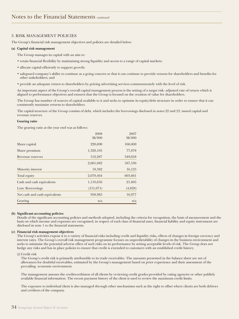#### 3. RISK MANAGEMENT POLICIES

The Group's financial risk management objectives and policies are detailed below:

#### **(a) Capital risk management**

The Group manages its capital with an aim to:

- retain financial flexibility by maintaining strong liquidity and access to a range of capital markets;
- allocate capital efficiently to support growth;
- safeguard company's ability to continue as a going concern so that it can continue to provide returns for shareholders and benefits for other stakeholders; and
- provide an adequate return to shareholders by pricing advertising services commensurately with the level of risk.

An important aspect of the Group's overall capital management process is the setting of a target risk- adjusted rate of return which is aligned to performance objectives and ensures that the Group is focused on the creation of value for shareholders.

The Group has number of sources of capital available to it and seeks to optimise its equity/debt structure in order to ensure that it can consistently maximize returns to shareholders.

The capital structure of the Group consists of debt, which includes the borrowings disclosed in notes 22 and 23, issued capital and revenue reserves.

#### **Gearing ratio**

The gearing ratio at the year end was as follows:

|                               | 2008<br>Sh'000 | 2007<br>Sh'000 |
|-------------------------------|----------------|----------------|
| Share capital                 | 220,690        | 160,000        |
| Share premium                 | 1,328,105      | 77,878         |
| Revenue reserves              | 512,287        | 349,658        |
|                               | 2,061,082      | 587,536        |
| Minority interest             | 18,382         | 16,125         |
| Total equity                  | 2,079,464      | 603,661        |
| Cash and cash equivalents     | 1,110,656      | 21,805         |
| Less: Borrowings              | (151, 671)     | (4,828)        |
| Net cash and cash equivalents | 958,985        | 16,977         |
| Gearing                       | n/a            | n/a            |

#### **(b) Significant accounting policies**

Details of the significant accounting policies and methods adopted, including the criteria for recognition, the basis of measurement and the basis on which income and expenses are recognised, in respect of each class of financial asset, financial liability and equity instrument are disclosed in note 1 to the financial statements.

#### **(c) Financial risk management objectives**

The Group's activities expose it to a variety of financial risks including credit and liquidity risks, effects of changes in foreign currency and interest rates. The Group's overall risk management programme focuses on unpredictability of changes in the business environment and seeks to minimise the potential adverse effect of such risks on its performance by setting acceptable levels of risk. The Group does not hedge any risks and has in place policies to ensure that credit is extended to customers with an established credit history.

(i) Credit risk

The Group's credit risk is primarily attributable to its trade receivables. The amounts presented in the balance sheet are net of allowances for doubtful receivables, estimated by the Group's management based on prior experience and their assessment of the prevailing economic environment.

The management assesses the creditworthiness of all clients by reviewing credit grades provided by rating agencies or other publicly available financial information. The recent payment history of the client is used to review the maximum credit limits.

The exposure to individual client is also managed through other mechanisms such as the right to offset where clients are both debtors and creditors of the company.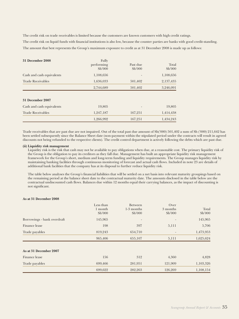The credit risk on trade receivables is limited because the customers are known customers with high credit ratings. The credit risk on liquid funds with financial institutions is also low, because the counter parties are banks with good credit-standing. The amount that best represents the Group's maximum exposure to credit as at 31 December 2008 is made up as follows:

| 31 December 2008          | Fully<br>performing<br>Sh'000 | Past due<br>Sh'000 | Total<br>Sh'000 |
|---------------------------|-------------------------------|--------------------|-----------------|
| Cash and cash equivalents | 1,108,656                     |                    | 1,108,656       |
| <b>Trade Receivables</b>  | 1,636,033                     | 501,402            | 2,137,435       |
|                           | 2,744,689                     | 501,402            | 3,246,091       |
|                           |                               |                    |                 |
| 31 December 2007          |                               |                    |                 |
| Cash and cash equivalents | 19,805                        |                    | 19,805          |
| <b>Trade Receivables</b>  | 1,247,187                     | 167,251            | 1,414,438       |
|                           | 1,266,992                     | 167,251            | 1,434,243       |

Trade receivables that are past due are not impaired. Out of the total past due amount of Sh('000) 501,402 a sum of Sh ('000) 211,642 has been settled subsequently since the Balance Sheet date (non-payment within the stipulated period under the contracts will result in agreed discounts not being refunded to the respective clients). The credit control department is actively following the debts which are past due.

#### **(ii) Liquidity risk management**

Liquidity risk is the risk that cash may not be available to pay obligations when due, at a reasonable cost. The primary liquidity risk of the Group is the obligation to pay its creditors as they fall due. Management has built an appropriate liquidity risk management framework for the Group's short, medium and long-term funding and liquidity requirements. The Group manages liquidity risk by maintaining banking facilities through continuous monitoring of forecast and actual cash flows. Included in note 23 are details of additional bank facilities that the company has at its disposal to further reduce liquidity risk.

The table below analyses the Group's financial liabilities that will be settled on a net basis into relevant maturity groupings based on the remaining period at the balance sheet date to the contractual maturity date. The amounts disclosed in the table below are the contractual undiscounted cash flows. Balances due within 12 months equal their carrying balances, as the impact of discounting is not significant.

#### **As at 31 December 2008**

|                             | Less than<br>1 month<br>Sh'000 | <b>Between</b><br>1-3 months<br>Sh'000 | Over<br>3 months<br>Sh'000 | Total<br>Sh'000 |
|-----------------------------|--------------------------------|----------------------------------------|----------------------------|-----------------|
| Borrowings - bank overdraft | 145,965                        |                                        |                            | 145,965         |
| Finance lease               | 198                            | 397                                    | 5,111                      | 5,706           |
| Trade payables              | 819,243                        | 654,710                                | $\overline{\phantom{a}}$   | 1,473,953       |
|                             | 965,406                        | 655,107                                | 5,111                      | 1,625,624       |
| As at 31 December 2007      |                                |                                        |                            |                 |
| Finance lease               | 156                            | 312                                    | 4,360                      | 4,828           |
| Trade payables              | 699,466                        | 281,951                                | 121,909                    | 1,103,326       |
|                             | 699,622                        | 282,263                                | 126,269                    | 1,108,154       |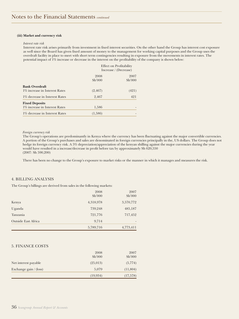#### **(iii) Market and currency risk**

#### *Interest rate risk*

Interest rate risk arises primarily from investment in fixed interest securities. On the other hand the Group has interest cost exposure as well since the Board has given fixed amount of money to the management for working capital purposes and the Group uses the overdraft facility in place to meet with short term contingencies resulting in exposure from the movements in interest rates. The potential impact of 1% increase or decrease in the interest on the profitability of the company is shown below:

|                                                        | <b>Effect</b> on Profitability<br>Increase / (Decrease) |                |
|--------------------------------------------------------|---------------------------------------------------------|----------------|
|                                                        | 2008<br>Sh'000                                          | 2007<br>Sh'000 |
| <b>Bank Overdraft</b><br>1% increase in Interest Rates | (2, 467)                                                | (421)          |
| 1% decrease in Interest Rates                          | 2,467                                                   | 421            |
| <b>Fixed Deposits</b><br>1% increase in Interest Rates | 1,586                                                   |                |
| 1% decrease in Interest Rates                          | (1,586)                                                 |                |

#### *Foreign currency risk*

The Group's operations are predominantly in Kenya where the currency has been fluctuating against the major convertible currencies. A portion of the Group's purchases and sales are denominated in foreign currencies principally in the, US dollars. The Group does not hedge its foreign currency risk. A 5% depreciation/appreciation of the kenyan shilling against the major currencies during the year would have resulted in a increase/decrease in profit before tax by approximately Sh 620,550 (2007: Sh 590,200)

There has been no change to the Group's exposure to market risks or the manner in which it manages and measures the risk.

#### 4. BILLING ANALYSIS

The Group's billings are derived from sales in the following markets:

|                            | 2008<br>Sh'000 | 2007<br>Sh'000               |
|----------------------------|----------------|------------------------------|
| Kenya                      | 4,318,978      | 3,570,772                    |
| Uganda                     | 739,248        | 485,187                      |
| <b>Tanzania</b>            | 721,776        | 717,452                      |
| <b>Outside East Africa</b> | 9,714          | $\qquad \qquad \blacksquare$ |
|                            | 5,789,716      | 4,773,411                    |

#### 5. FINANCE COSTS

|                          | 2008<br>Sh'000 | 2007<br>Sh'000 |
|--------------------------|----------------|----------------|
| Net interest payable     | (25,013)       | (5,774)        |
| Exchange gain $/$ (loss) | 5,079          | (11,804)       |
|                          | (19,934)       | (17,578)       |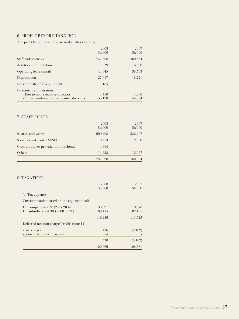### 6. PROFIT BEFORE TAXATION

The profit before taxation is arrived at after charging:

|                                           | 2008<br>Sh'000 | 2007<br>Sh'000 |
|-------------------------------------------|----------------|----------------|
| Staff costs (note 7)                      | 737,698        | 560,854        |
| Auditors' remuneration                    | 7,539          | 6,390          |
| Operating lease rentals                   | 41,345         | 33,563         |
| Depreciation                              | 27,917         | 18,721         |
| Loss on write off of equipment            | 185            |                |
| Directors' remuneration                   |                |                |
| - Fees to non-executive directors         | 1,790          | 1,360          |
| - Other emoluments to executive directors | 56,190         | 45.384         |

### 7. STAFF COSTS

|                                       | 2008<br>Sh'000 | 2007<br>Sh'000 |
|---------------------------------------|----------------|----------------|
| Salaries and wages                    | 699,498        | 536,207        |
| Social security costs (NSSF)          | 19,253         | 12,590         |
| Contribution to provident fund scheme | 4,394          |                |
| Others                                | 14,553         | 12,057         |
|                                       | 737,698        | 560,854        |

### 8. TAXATION

|                                               | 2008    | 2007    |
|-----------------------------------------------|---------|---------|
|                                               | Sh'000  | Sh'000  |
| (a) Tax expense                               |         |         |
| Current taxation based on the adjusted profit |         |         |
| For company at 20% (2007:20%)                 | 30,021  | 9,378   |
| For subsidiaries at $30\%$ (2007:30%)         | 89,415  | 102,165 |
|                                               | 119,436 | 111,543 |
| Deferred taxation charge/(credit) (note 14)   |         |         |
| - current year                                | 1,476   | (3,162) |
| - prior year under provision                  | 54      |         |
|                                               | 1,530   | (3,162) |
|                                               | 120,966 | 108,381 |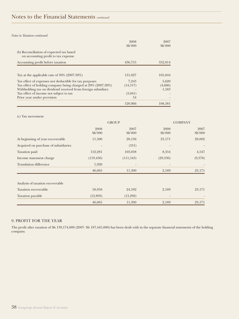# Notes to the Financial Statements *continued*

*Notes to Taxation continued*

|                                                                                 | 2008     | 2007    |
|---------------------------------------------------------------------------------|----------|---------|
|                                                                                 | Sh'000   | Sh'000  |
| (b) Reconciliation of expected tax based<br>on accounting profit to tax expense |          |         |
| Accounting profit before taxation                                               | 436,755  | 352,814 |
|                                                                                 |          |         |
| Tax at the applicable rate of $30\%$ (2007:30%)                                 | 131,027  | 105,844 |
| Tax effect of expenses not deductible for tax purposes                          | 7,243    | 5,620   |
| Tax effect of holding company being charged at 20% (2007:20%)                   | (14,317) | (4,666) |
| Withholding tax on dividend received from foreign subsidiary                    |          | 1,583   |
| Tax effect of income not subject to tax                                         | (3,041)  |         |
| Prior year under provision                                                      | 54       |         |
|                                                                                 | 120,966  | 108,381 |

(c) Tax movement

|                                      | <b>GROUP</b>   |                | <b>COMPANY</b> |                |
|--------------------------------------|----------------|----------------|----------------|----------------|
|                                      | 2008<br>Sh'000 | 2007<br>Sh'000 | 2008<br>Sh'000 | 2007<br>Sh'000 |
| At beginning of year-recoverable     | 11,300         | 20,136         | 23,171         | 28,002         |
| Acquired on purchase of subsidiaries |                | (331)          |                |                |
| <b>Taxation</b> paid                 | 152,281        | 103,038        | 8,354          | 4,547          |
| Income statement charge              | (119, 436)     | (111,543)      | (29, 336)      | (9,378)        |
| <b>Translation difference</b>        | 1,920          |                | ٠              |                |
|                                      | 46,065         | 11,300         | 2,189          | 23,171         |
| Analysis of taxation recoverable     |                |                |                |                |
| <b>Taxation recoverable</b>          | 58,958         | 24,592         | 2,189          | 23,171         |
| Taxation payable                     | (12,893)       | (13,292)       |                |                |
|                                      | 46,065         | 11,300         | 2,189          | 23,171         |

#### 9. PROFIT FOR THE YEAR

The profit after taxation of Sh 139,174,000 (2007- Sh 187,445,000) has been dealt with in the separate financial statements of the holding company.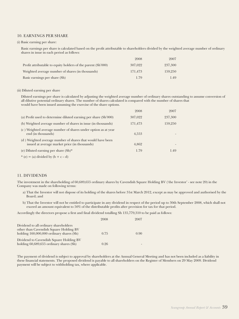#### 10. EARNINGS PER SHARE

#### (i) Basic earning per share:

Basic earnings per share is calculated based on the profit attributable to shareholders divided by the weighted average number of ordinary shares in issue in each period as follows:

|                                                              | 2008    | 2007    |
|--------------------------------------------------------------|---------|---------|
| Profit attributable to equity holders of the parent (Sh'000) | 307,022 | 237,300 |
| Weighted average number of shares (in thousands)             | 171.473 | 159,250 |
| Basic earnings per share (Sh)                                | 1.79    | 1.49    |
|                                                              |         |         |

#### (ii) Diluted earning per share

Diluted earnings per share is calculated by adjusting the weighted average number of ordinary shares outstanding to assume conversion of all dilutive potential ordinary shares. The number of shares calculated is compared with the number of shares that would have been issued assuming the exercise of the share options.

|                                                                                                             | 2008    | 2007    |
|-------------------------------------------------------------------------------------------------------------|---------|---------|
| (a) Profit used to determine diluted earning per share (Sh'000)                                             | 307,022 | 237,300 |
| (b) Weighted average number of shares in issue (in thousands)                                               | 171,473 | 159,250 |
| (c) Weighted average number of shares under option as at year<br>end (in thousands)                         | 4.553   |         |
| (d) Weighted average number of shares that would have been<br>issued at average market price (in thousands) | 4,862   |         |
| (e) Diluted earning per share $(Sh)^*$                                                                      | 1.79    | 1.49    |
| * (e) = (a) divided by $(b + c - d)$                                                                        |         |         |

#### 11. DIVIDENDS

The investment in the shareholding of 60,689,655 ordinary shares by Cavendish Square Holding BV ('the Investor' - see note 20) in the Company was made on following terms:

- a) That the Investor will not dispose of its holding of the shares before 31st March 2012, except as may be approved and authorised by the Board; and
- b) That the Investor will not be entitled to participate in any dividend in respect of the period up to 30th September 2008, which shall not exceed an amount equivalent to 50% of the distributable profits after provision for tax for that period.

Accordingly the directors propose a first and final dividend totalling Sh 135,779,310 to be paid as follows:

|                                                                                                                                 | 2008 | 2007 |
|---------------------------------------------------------------------------------------------------------------------------------|------|------|
| Dividend to all ordinary shareholders<br>other than Cavendish Square Holding BV<br>holding $160,000,000$ ordinary shares $(Sh)$ | 0.75 | 0.90 |
| Dividend to Cavendish Square Holding BV<br>holding $60,689,655$ ordinary shares $(Sh)$                                          | 0.26 |      |

The payment of dividend is subject to approval by shareholders at the Annual General Meeting and has not been included as a liability in these financial statements. The proposed dividend is payable to all shareholders on the Register of Members on 29 May 2009. Dividend payment will be subject to withholding tax, where applicable.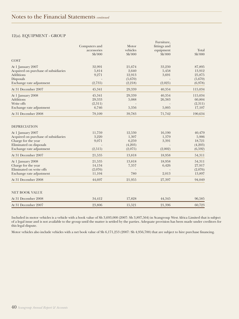## 12(a). EQUIPMENT - GROUP

|                                      |               |          | Furniture,   |         |
|--------------------------------------|---------------|----------|--------------|---------|
|                                      | Computers and | Motor    | fittings and |         |
|                                      | accessories   | vehicles | equipment    | Total   |
|                                      | Sh'000        | Sh'000   | Sh'000       | Sh'000  |
| <b>COST</b>                          |               |          |              |         |
| At 1 January 2007                    | 32,991        | 21,674   | 33,230       | 87,895  |
| Acquired on purchase of subsidiaries | 5,814         | 2,640    | 5,458        | 13,912  |
| <b>Additions</b>                     | 9,271         | 12,913   | 3,691        | 25,875  |
| Disposals                            |               | (5,670)  |              | (5,670) |
| Exchange rate adjustment             | (2,735)       | (2,218)  | (2,025)      | (6,978) |
| At 31 December 2007                  | 45,341        | 29,339   | 40,354       | 115,034 |
| At 1 January 2008                    | 45,341        | 29,339   | 40,354       | 115,034 |
| <b>Additions</b>                     | 29,333        | 5,088    | 26,383       | 60,804  |
| Write offs                           | (2,311)       |          |              | (2,311) |
| Exchange rate adjustment             | 6,746         | 5,356    | 5,005        | 17,107  |
| At 31 December 2008                  | 79,109        | 39,783   | 71,742       | 190,634 |
| <b>DEPRECIATION</b>                  |               |          |              |         |
| At 1 January 2007                    | 11,759        | 12,530   | 16,190       | 40,479  |
| Acquired on purchase of subsidiaries | 3,220         | 1,307    | 1,379        | 5,906   |
| Charge for the year                  | 9,071         | 6,259    | 3,391        | 18,721  |
| Eliminated on disposals              |               | (4,203)  |              | (4,203) |
| Exchange rate adjustment             | (2,515)       | (2,075)  | (2,002)      | (6,592) |
| At 31 December 2007                  | 21,535        | 13,818   | 18,958       | 54,311  |
| At 1 January 2008                    | 21,535        | 13,818   | 18,958       | 54,311  |
| Charge for the year                  | 14,134        | 7,357    | 6,426        | 27,917  |
| Eliminated on write offs             | (2,076)       |          |              | (2,076) |
| Exchange rate adjustment             | 11,104        | 780      | 2,013        | 13,897  |
| At 31 December 2008                  | 44,697        | 21,955   | 27,397       | 94,049  |
| <b>NET BOOK VALUE</b>                |               |          |              |         |
| At 31 December 2008                  | 34,412        | 17,828   | 44,345       | 96,585  |
| At 31 December 2007                  | 23,806        | 15,521   | 21,396       | 60,723  |

Included in motor vehicles is a vehicle with a book value of Sh 3,693,000 (2007: Sh 3,897,564) in Scangroup West Africa Limited that is subject of a legal issue and is not available to the group until the matter is settled by the parties. Adequate provision has been made under creditors for this legal dispute.

Motor vehicles also include vehicles with a net book value of Sh 6,171,253 (2007: Sh 4,956,788) that are subject to hire purchase financing.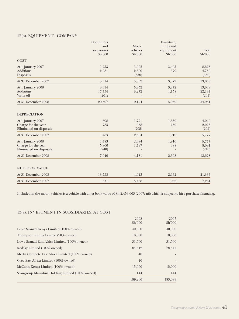## 12(b). EQUIPMENT - COMPANY

|                         | Computers |          | Furniture,   |        |
|-------------------------|-----------|----------|--------------|--------|
|                         | and       | Motor    | fittings and |        |
| accessories             |           | vehicles | equipment    | Total  |
|                         | Sh'000    | Sh'000   | Sh'000       | Sh'000 |
| <b>COST</b>             |           |          |              |        |
| At 1 January 2007       | 1,233     | 3,902    | 3,493        | 8,628  |
| <b>Additions</b>        | 2,081     | 2,300    | 379          | 4,760  |
| Disposals               |           | (350)    |              | (350)  |
| At 31 December 2007     | 3,314     | 5,852    | 3,872        | 13,038 |
| At 1 January 2008       | 3,314     | 5,852    | 3,872        | 13,038 |
| <b>Additions</b>        | 17,754    | 3,272    | 1,158        | 22,184 |
| Write off               | (261)     |          |              | (261)  |
| At 31 December 2008     | 20,807    | 9,124    | 5,030        | 34,961 |
| <b>DEPRECIATION</b>     |           |          |              |        |
| At 1 January 2007       | 698       | 1,721    | 1,630        | 4,049  |
| Charge for the year     | 785       | 958      | 280          | 2,023  |
| Eliminated on disposals |           | (295)    |              | (295)  |
| At 31 December 2007     | 1,483     | 2,384    | 1,910        | 5,777  |
| At 1 January 2008       | 1,483     | 2,384    | 1,910        | 5,777  |
| Charge for the year     | 5,806     | 1,797    | 488          | 8,091  |
| Eliminated on disposals | (240)     |          |              | (240)  |
| At 31 December 2008     | 7,049     | 4,181    | 2,398        | 13,628 |
| <b>NET BOOK VALUE</b>   |           |          |              |        |
| At 31 December 2008     | 13,758    | 4,943    | 2,632        | 21,333 |
| At 31 December 2007     | 1,831     | 3,468    | 1,962        | 7,261  |
|                         |           |          |              |        |

Included in the motor vehicles is a vehicle with a net book value of Sh 2,453,663 (2007; nil) which is subject to hire purchase financing.

## 13(a). INVESTMENT IN SUBSIDIARIES, AT COST

|                                                  | 2008<br>Sh'000 | 2007<br>Sh'000 |
|--------------------------------------------------|----------------|----------------|
| Lowe Scanad Kenya Limited (100% owned)           | 40,000         | 40,000         |
| Thompson Kenya Limited (90% owned)               | 18,000         | 18,000         |
| Lowe Scanad East Africa Limited (100% owned)     | 31,500         | 31,500         |
| Redsky Limited (100% owned)                      | 84.542         | 78,445         |
| Media Compete East Africa Limited (100% owned)   | 40             |                |
| Grey East Africa Limited (100% owned)            | 40             |                |
| McCann Kenya Limited (100% owned)                | 15,000         | 15,000         |
| Scangroup Mauritius Holding Limited (100% owned) | 144            | 144            |
|                                                  | 189,266        | 183,089        |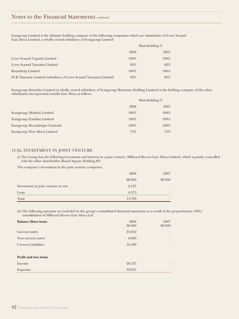Scangroup Limited is the ultimate holding company of the following companies which are subsidiaries of Lowe Scanad East Africa Limited, a wholly owned subsidiary of Scangroup Limited:

|                                                                   | Shareholding $\%$ |      |
|-------------------------------------------------------------------|-------------------|------|
|                                                                   | 2008              | 2007 |
| Lowe Scanad Uganda Limited                                        | 100%              | 100% |
| Lowe Scanad Tanzania Limited                                      | 82%               | 82%  |
| Roundtrip Limited                                                 | 100%              | 100% |
| FCB Tanzania Limited (subsidiary of Lowe Scanad Tanzania Limited) | 82%               | 82%  |

Scangroup Mauritius Limited (a wholly owned subsidiary of Scangroup Mauritius Holding Limited) is the holding company of the other subsidiaries incorporated outside East Africa as follows:

|                               | Shareholding $\%$ |         |
|-------------------------------|-------------------|---------|
|                               | 2008              | 2007    |
| Scangroup (Malawi) Limited    | 100%              | $100\%$ |
| Scangroup (Zambia) Limited    | 100%              | $100\%$ |
| Scangroup Mozambique Limitada | 100%              | $100\%$ |
| Scangroup West Africa Limited | 75%               | 75%     |

#### 13 (b). INVESTMENT IN JOINT VENTURE

(i) The Group has the following investment and interest in a joint venture, Millward Brown East Africa Limited, which is jointly controlled with the other shareholder Russel Square Holding BV.

The company's investment in the joint venture comprises:

|                                     | 2008   | 2007                     |
|-------------------------------------|--------|--------------------------|
|                                     | Sh'000 | Sh'000                   |
| Investment in joint venture at cost | 6,125  | $\overline{\phantom{0}}$ |
| Loan                                | 8,575  | $\sim$                   |
| Total                               | 14,700 |                          |

(ii) The following amounts are included in the group's consolidated financial statements as a result of the proportionate (49%) consolidation of Millward Brown East Africa Ltd.

| <b>Balance Sheet items</b>   | 2008<br>Sh'000 | 2007<br>Sh'000           |
|------------------------------|----------------|--------------------------|
| Current assets               | 24,812         | $\overline{\phantom{a}}$ |
| Non-current assets           | 6,069          | $\overline{\phantom{a}}$ |
| <b>Current Liabilities</b>   | 18,589         | $\overline{\phantom{a}}$ |
|                              |                |                          |
| <b>Profit and loss items</b> |                |                          |
| Income                       | 28,527         | $\overline{\phantom{a}}$ |
| <b>Expenses</b>              | 30,933         | $\overline{a}$           |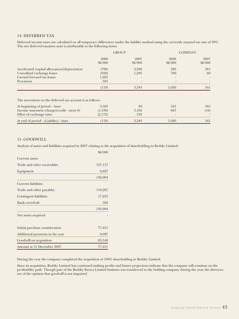#### 14. DEFERRED TAX

Deferred income taxes are calculated on all temporary differences under the liability method using the currently enacted tax rate of 30%. The net deferred taxation asset is attributable to the following items:

|                                                                                                           | <b>GROUP</b>            |                          | <b>COMPANY</b>           |                |
|-----------------------------------------------------------------------------------------------------------|-------------------------|--------------------------|--------------------------|----------------|
|                                                                                                           | 2008<br>Sh'000          | 2007<br>Sh'000           | 2008<br>Sh'000           | 2007<br>Sh'000 |
| Accelerated (capital allowances)/depreciation<br>Unrealised exchange losses<br>Carried forward tax losses | (790)<br>(939)<br>1,025 | 2,288<br>1,295           | 326<br>700               | 281<br>60      |
| Provisions                                                                                                | 585                     | $\overline{\phantom{a}}$ | $\qquad \qquad =$        |                |
|                                                                                                           | (119)                   | 3,583                    | 1,026                    | 341            |
| The movement on the deferred tax account is as follows:                                                   |                         |                          |                          |                |
| At beginning of period - Asset                                                                            | 3,583                   | 89                       | 341                      | 385            |
| Income statement (charge)/credit - (note 8)                                                               | (1,530)                 | 3,162                    | 685                      | (44)           |
| Effect of exchange rates                                                                                  | (2,172)                 | 332                      | $\overline{\phantom{a}}$ |                |
| At end of period - (Liability) / Asset                                                                    | (119)                   | 3,583                    | 1,026                    | 341            |

#### 15. GOODWILL

Analysis of assets and liabilities acquired in 2007 relating to the acquisition of shareholding in Redsky Limited:

|                                 | Sh'000  |
|---------------------------------|---------|
| Current assets                  |         |
| Trade and other receivables     | 127,117 |
| Equipment                       | 8,887   |
|                                 | 136,004 |
| <b>Current liabilities</b>      |         |
| Trade and other payables        | 118,267 |
| Contingent liabilities          | 17,235  |
| Bank overdraft                  | 502     |
|                                 | 136,004 |
| Net assets acquired             |         |
| Initial purchase consideration  | 77,451  |
| Additional payments in the year | 6,097   |
| Goodwill on acquisition         | 83,548  |
| Amount at 31 December 2007      | 77,451  |

During the year the company completed the acquisition of 100% shareholding in Redsky Limited.

Since its acquisition, Redsky Limited has continued making profits and future projections indicate that the company will continue on the profitability path. Though part of the Redsky Kenya Limited business was transferred to the holding company during the year, the directors are of the opinion that goodwill is not impaired.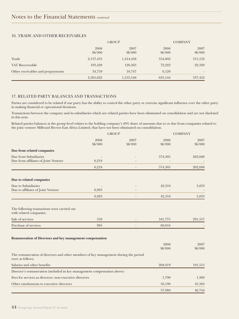# Notes to the Financial Statements *continued*

#### 16. TRADE AND OTHER RECEIVABLES

|                                   | <b>GROUP</b>   |                |                | <b>COMPANY</b>           |  |
|-----------------------------------|----------------|----------------|----------------|--------------------------|--|
|                                   | 2008<br>Sh'000 | 2007<br>Sh'000 | 2008<br>Sh'000 | 2007<br>Sh'000           |  |
| Trade                             | 2,137,435      | 1,414,438      | 554,802        | 315,132                  |  |
| VAT Recoverable                   | 193,428        | 120,363        | 72,222         | 22,320                   |  |
| Other receivables and prepayments | 34,759         | 18,747         | 6,120          | $\overline{\phantom{0}}$ |  |
|                                   | 2,365,622      | 1,553,548      | 633,144        | 337,452                  |  |

#### 17. RELATED PARTY BALANCES AND TRANSACTIONS

Parties are considered to be related if one party has the ability to control the other party or exercise significant influence over the other party in making financial or operational decisions.

Transactions between the company and its subsidiaries which are related parties have been eliminated on consolidation and are not disclosed in this note.

Related parties balances at the group level relates to the holding company's 49% share of amounts due to or due from companies related to the joint venture Millward Brown East Africa Limited, that have not been eliminated on consolidation.

|                                                                                                         | <b>GROUP</b>   |                | <b>COMPANY</b> |                |
|---------------------------------------------------------------------------------------------------------|----------------|----------------|----------------|----------------|
|                                                                                                         | 2008<br>Sh'000 | 2007<br>Sh'000 | 2008<br>Sh'000 | 2007<br>Sh'000 |
| Due from related companies                                                                              |                |                |                |                |
| Due from Subsidiaries<br>Due from affiliates of Joint Venture                                           | 6,218          |                | 574,305        | 262,688        |
|                                                                                                         | 6,218          |                | 574,305        | 262,688        |
| Due to related companies                                                                                |                |                |                |                |
| Due to Subsidiaries<br>Due to affiliates of Joint Venture                                               | 8,983          |                | 42,310         | 3,833          |
|                                                                                                         | 8,983          |                | 42,310         | 3,833          |
| The following transactions were carried out<br>with related companies:                                  |                |                |                |                |
| Sale of services                                                                                        | 559            |                | 341,775        | 291,557        |
| Purchase of services                                                                                    | 985            |                | 60,616         |                |
| Remuneration of Directors and key management compensation                                               |                |                |                |                |
|                                                                                                         |                |                | 2008<br>Sh'000 | 2007<br>Sh'000 |
| The remuneration of directors and other members of key management during the period<br>were as follows: |                |                |                |                |
| Salaries and other benefits                                                                             |                |                | 268,019        | 191,515        |
| Director's remuneration (included in key management compensation above)                                 |                |                |                |                |
| Fees for services as directors: non executive directors                                                 |                |                | 1,790          | 1,360          |
| Other emoluments to executive directors                                                                 |                |                | 56,190         | 45,384         |
|                                                                                                         |                |                | 57,980         | 46,744         |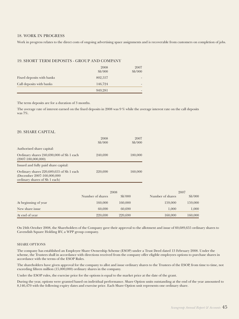#### 18. WORK IN PROGRESS

Work in progress relates to the direct costs of ongoing advertising space assignments and is recoverable from customers on completion of jobs.

#### 19. SHORT TERM DEPOSITS - GROUP AND COMPANY

|                           | 2008<br>Sh'000 | 2007<br>Sh'000 |
|---------------------------|----------------|----------------|
| Fixed deposits with banks | 802,557        |                |
| Call deposits with banks  | 146,724        | -              |
|                           | 949,281        |                |

The term deposits are for a duration of 3 months.

The average rate of interest earned on the fixed deposits in 2008 was 9 % while the average interest rate on the call deposits was 7%.

#### 20. SHARE CAPITAL

|                                                                                                          | 2008<br>Sh'000 | 2007<br>Sh'000 |
|----------------------------------------------------------------------------------------------------------|----------------|----------------|
| Authorised share capital:                                                                                |                |                |
| Ordinary shares 240,690,000 of Sh 1 each<br>(2007:180,000,000)                                           | 240,690        | 180,000        |
| Issued and fully paid share capital:                                                                     |                |                |
| Ordinary shares 220,689,655 of Sh 1 each<br>(December 2007-160,000,000)<br>ordinary shares of Sh 1 each) | 220,690        | 160,000        |

|                      | 2008             |         |                  | 2007    |
|----------------------|------------------|---------|------------------|---------|
|                      | Number of shares | Sh'000  | Number of shares | Sh'000  |
| At beginning of year | 160,000          | 160,000 | 159,000          | 159,000 |
| New share issue      | 60.690           | 60.690  | 1.000            | 1,000   |
| At end of year       | 220,690          | 220.690 | 160,000          | 160,000 |

On 24th October 2008, the Shareholders of the Company gave their approval to the allotment and issue of 60,689,655 ordinary shares to Cavendish Square Holding BV, a WPP group company.

#### SHARE OPTIONS

The company has established an Employee Share Ownership Scheme (ESOP) under a Trust Deed dated 13 February 2008. Under the scheme, the Trustees shall in accordance with directions received from the company offer eligible employees options to purchase shares in accordance with the terms of the ESOP Rules.

The shareholders have given approval for the company to allot and issue ordinary shares to the Trustees of the ESOP, from time to time, not exceeding fifteen million (15,000,000) ordinary shares in the company.

Under the ESOP rules, the exercise price for the options is equal to the market price at the date of the grant.

During the year, options were granted based on individual performance. Share Option units outstanding at the end of the year amounted to 8,146,470 with the following expiry dates and exercise price. Each Share Option unit represents one ordinary share.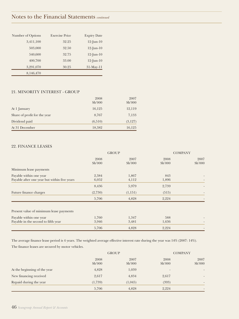# Notes to the Financial Statements *continued*

| Number of Options | <b>Exercise Price</b> | <b>Expiry Date</b> |
|-------------------|-----------------------|--------------------|
| 3,411,100         | 32.25                 | $12$ -Jun-10       |
| 503,000           | 32.50                 | $12$ -Jun-10       |
| 540,600           | 32.75                 | $12$ -Jun-10       |
| 400,700           | 33.00                 | $12$ -Jun-10       |
| 3,291,070         | 30.25                 | 31-May-11          |
| 8,146,470         |                       |                    |

### 21. MINORITY INTEREST - GROUP

|                              | 2008<br>Sh'000 | 2007<br>Sh'000 |
|------------------------------|----------------|----------------|
| At 1 January                 | 16,125         | 12,119         |
| Share of profit for the year | 8,767          | 7,133          |
| Dividend paid                | (6,510)        | (3,127)        |
| At 31 December               | 18,382         | 16,125         |

### 22. FINANCE LEASES

| <b>GROUP</b>   |                | <b>COMPANY</b> |                |
|----------------|----------------|----------------|----------------|
| 2008<br>Sh'000 | 2007<br>Sh'000 | 2008<br>Sh'000 | 2007<br>Sh'000 |
|                |                |                |                |
| 2,384<br>6,052 | 1,867<br>4,112 | 843<br>1,896   |                |
| 8,436          | 5,979          | 2,739          |                |
| (2,730)        | (1,151)        | (515)          |                |
| 5,706          | 4,828          | 2,224          |                |
|                |                |                |                |
| 1,760<br>3,946 | 1,347<br>3,481 | 588<br>1,636   |                |
| 5,706          | 4,828          | 2,224          |                |
|                |                |                |                |

The average finance lease period is 4 years. The weighted average effective interest rate during the year was 14% (2007: 14%).

The finance leases are secured by motor vehicles.

|                              | <b>GROUP</b>   |                |                | <b>COMPANY</b>               |  |
|------------------------------|----------------|----------------|----------------|------------------------------|--|
|                              | 2008<br>Sh'000 | 2007<br>Sh'000 | 2008<br>Sh'000 | 2007<br>Sh'000               |  |
| At the beginning of the year | 4,828          | 1,039          | $\overline{a}$ | $\overline{\phantom{a}}$     |  |
| New financing received       | 2,617          | 4,834          | 2,617          | $-$                          |  |
| Repaid during the year       | (1,739)        | (1,045)        | (393)          | $\qquad \qquad \blacksquare$ |  |
|                              | 5,706          | 4,828          | 2,224          | $\overline{\phantom{a}}$     |  |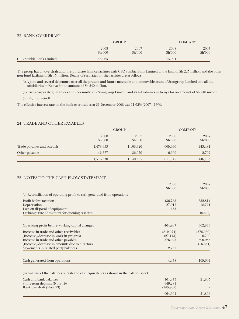#### 23. BANK OVERDRAFT

|                                 | <b>GROUP</b>   |                |                | <b>COMPANY</b> |  |
|---------------------------------|----------------|----------------|----------------|----------------|--|
|                                 | 2008<br>Sh'000 | 2007<br>Sh'000 | 2008<br>Sh'000 | 2007<br>Sh'000 |  |
| <b>CFC Stanbic Bank Limited</b> | 145.965        | $\sim$         | 13.994         | $\sim$         |  |

The group has an overdraft and hire purchase finance facilities with CFC Stanbic Bank Limited to the limit of Sh 225 million and the other non-fund facilities of Sh 15 million. Details of securities for the facilities are as follows:

- (i) A joint and several debenture over all the present and future moveable and immovable assets of Scangroup Limited and all the subsidiaries in Kenya for an amount of Sh 240 million.
- (ii) Cross corporate guarantees and indemnities by Scangroup Limited and its subsidiaries in Kenya for an amount of Sh 240 million.

(iii) Right of set-off.

The effective interest rate on the bank overdraft as at 31 December 2008 was 11.62% (2007 - 13%).

#### 24. TRADE AND OTHER PAYABLES

|                             | <b>GROUP</b>   |                |                | <b>COMPANY</b> |  |
|-----------------------------|----------------|----------------|----------------|----------------|--|
|                             | 2008<br>Sh'000 | 2007<br>Sh'000 | 2008<br>Sh'000 | 2007<br>Sh'000 |  |
| Trade payables and accruals | 1,473,953      | 1,103,326      | 605,036        | 443,481        |  |
| Other payables              | 42.377         | 36,979         | 6,509          | 2,702          |  |
|                             | 1,516,330      | 1,140,305      | 611,545        | 446,183        |  |

#### 25. NOTES TO THE CASH FLOW STATEMENT

|                                                                                         | 2008       | 2007       |
|-----------------------------------------------------------------------------------------|------------|------------|
|                                                                                         | Sh'000     | Sh'000     |
| (a) Reconciliation of operating profit to cash generated from operations                |            |            |
| Profit before taxation                                                                  | 436,755    | 352,814    |
| Depreciation                                                                            | 27,917     | 18,721     |
| Loss on disposal of equipment                                                           | 235        |            |
| Exchange rate adjustment for opening reserves                                           |            | (8,692)    |
|                                                                                         |            |            |
| Operating profit before working capital changes                                         | 464,907    | 362,843    |
| Increase in trade and other receivables                                                 | (812,074)  | (578, 339) |
| (Increase)/decrease in work-in-progress                                                 | (27, 145)  | 6,799      |
| Increase in trade and other payables                                                    | 376,025    | 390,985    |
| (Increase)/decrease in amounts due to directors                                         |            | (16, 684)  |
| Movements in related party balances                                                     | 2,765      |            |
|                                                                                         |            |            |
| Cash generated from operations                                                          | 4,478      | 165,604    |
|                                                                                         |            |            |
| (b) Analysis of the balances of cash and cash equivalents as shown in the balance sheet |            |            |
| Cash and bank balances                                                                  | 161,375    | 21,805     |
| Short-term deposits (Note 19)                                                           | 949,281    |            |
| Bank overdraft (Note 23)                                                                | (145, 965) |            |

964,691 21,805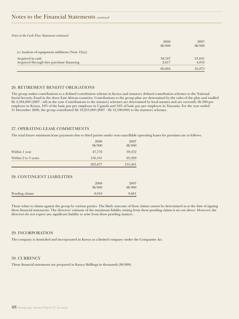# Notes to the Financial Statements *continued*

*Notes to the Cash Flow Statement continued*

| (c) Analysis of equipment additions (Note $12(a)$ ) |        |        |
|-----------------------------------------------------|--------|--------|
| Acquired in cash                                    | 58,187 | 21,041 |
| Acquired through hire purchase financing            | 2,617  | 4,834  |
|                                                     | 60,804 | 25,875 |

#### 26. RETIREMENT BENEFIT OBLIGATIONS

The group makes contributions to a defined contribution scheme in Kenya and statutory defined contribution schemes to the National Social Security Fund in the three East African countries. Contributions to the group plan are determined by the rules of the plan and totalled Sh 4,394,000 (2007 - nil) in the year. Contributions to the statutory schemes are determined by local statutes and are currently Sh 200 per employee in Kenya, 10% of the basic pay per employee in Uganda and 10% of basic pay per employee in Tanzania. For the year ended 31 December 2008, the group contributed Sh 19,253,000 (2007 - Sh 12,590,000) to the statutory schemes.

#### 27. OPERATING LEASE COMMITMENTS

The total future minimum lease payments due to third parties under non-cancellable operating leases for premises are as follows:

|                                   | 2008<br>Sh'000 | 2007<br>Sh'000 |
|-----------------------------------|----------------|----------------|
| Within 1 year                     | 47,776         | 39,472         |
| Within 2 to 3 years               | 156,101        | 95,929         |
|                                   | 203,877        | 135,401        |
| <b>28. CONTINGENT LIABILITIES</b> | 2008<br>Sh'000 | 2007<br>Sh'000 |
| Pending claims                    | 8,010          | 9,681          |

These relate to claims against the group by various parties. The likely outcome of these claims cannot be determined as at the date of signing these financial statements. The directors' estimate of the maximum liability arising from these pending claims is set out above. However, the directors do not expect any significant liability to arise from these pending matters.

#### 29. INCORPORATION

The company is domiciled and incorporated in Kenya as a limited company under the Companies Act.

#### 30. CURRENCY

These financial statements are prepared in Kenya Shillings in thousands (Sh'000).